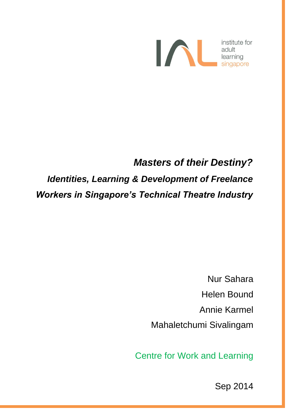

## *Masters of their Destiny?*

*Identities, Learning & Development of Freelance Workers in Singapore's Technical Theatre Industry* 

> Nur Sahara Helen Bound Annie Karmel Mahaletchumi Sivalingam

Centre for Work and Learning

Sep 2014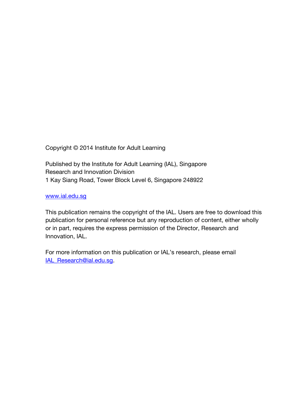Copyright © 2014 Institute for Adult Learning

Published by the Institute for Adult Learning (IAL), Singapore Research and Innovation Division 1 Kay Siang Road, Tower Block Level 6, Singapore 248922

#### [www.ial.edu.sg](http://www.ial.edu.sg/)

This publication remains the copyright of the IAL. Users are free to download this publication for personal reference but any reproduction of content, either wholly or in part, requires the express permission of the Director, Research and Innovation, IAL.

For more information on this publication or IAL's research, please email IAL Research@ial.edu.sq.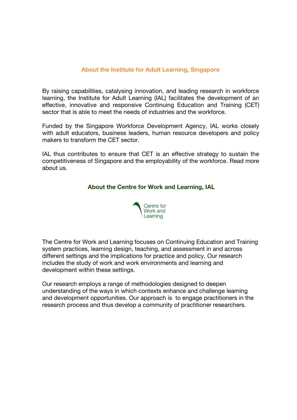#### **About the Institute for Adult Learning, Singapore**

By raising capabilities, catalysing innovation, and leading research in workforce learning, the Institute for Adult Learning (IAL) facilitates the development of an effective, innovative and responsive Continuing Education and Training (CET) sector that is able to meet the needs of industries and the workforce.

Funded by the Singapore Workforce Development Agency, IAL works closely with adult educators, business leaders, human resource developers and policy makers to transform the CET sector.

IAL thus contributes to ensure that CET is an effective strategy to sustain the competitiveness of Singapore and the employability of the workforce. Read more about us.

#### **About the Centre for Work and Learning, IAL**



The Centre for Work and Learning focuses on Continuing Education and Training system practices, learning design, teaching, and assessment in and across different settings and the implications for practice and policy. Our research includes the study of work and work environments and learning and development within these settings.

Our research employs a range of methodologies designed to deepen understanding of the ways in which contexts enhance and challenge learning and development opportunities. Our approach is to engage practitioners in the research process and thus develop a community of practitioner researchers.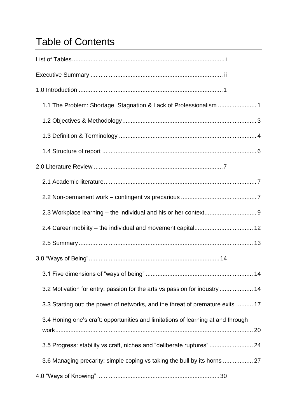# Table of Contents

| 1.1 The Problem: Shortage, Stagnation & Lack of Professionalism  1               |
|----------------------------------------------------------------------------------|
|                                                                                  |
|                                                                                  |
|                                                                                  |
|                                                                                  |
|                                                                                  |
|                                                                                  |
|                                                                                  |
| 2.4 Career mobility - the individual and movement capital 12                     |
|                                                                                  |
|                                                                                  |
|                                                                                  |
| 3.2 Motivation for entry: passion for the arts vs passion for industry  14       |
| 3.3 Starting out: the power of networks, and the threat of premature exits  17   |
| 3.4 Honing one's craft: opportunities and limitations of learning at and through |
|                                                                                  |
| 3.5 Progress: stability vs craft, niches and "deliberate ruptures" 24            |
| 3.6 Managing precarity: simple coping vs taking the bull by its horns  27        |
|                                                                                  |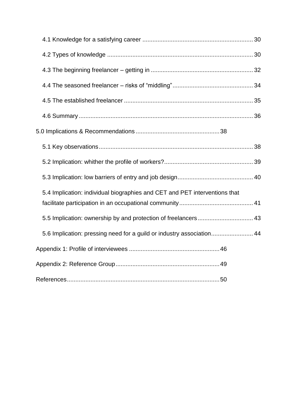| 5.4 Implication: individual biographies and CET and PET interventions that |  |
|----------------------------------------------------------------------------|--|
| 5.5 Implication: ownership by and protection of freelancers 43             |  |
| 5.6 Implication: pressing need for a guild or industry association 44      |  |
|                                                                            |  |
|                                                                            |  |
|                                                                            |  |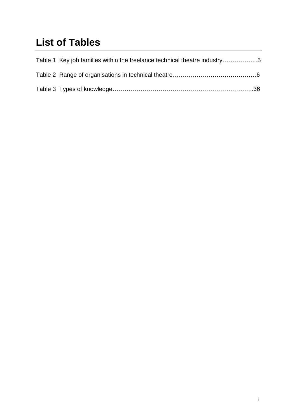# <span id="page-6-0"></span>**List of Tables**

| Table 1 Key job families within the freelance technical theatre industry5 |  |
|---------------------------------------------------------------------------|--|
|                                                                           |  |
|                                                                           |  |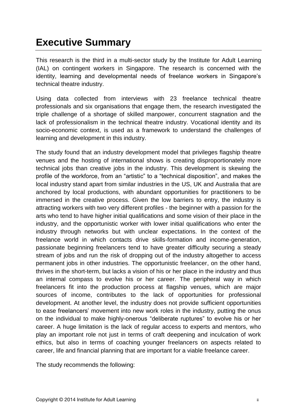## <span id="page-7-0"></span>**Executive Summary**

This research is the third in a multi-sector study by the Institute for Adult Learning (IAL) on contingent workers in Singapore. The research is concerned with the identity, learning and developmental needs of freelance workers in Singapore's technical theatre industry.

Using data collected from interviews with 23 freelance technical theatre professionals and six organisations that engage them, the research investigated the triple challenge of a shortage of skilled manpower, concurrent stagnation and the lack of professionalism in the technical theatre industry. Vocational identity and its socio-economic context, is used as a framework to understand the challenges of learning and development in this industry.

The study found that an industry development model that privileges flagship theatre venues and the hosting of international shows is creating disproportionately more technical jobs than creative jobs in the industry. This development is skewing the profile of the workforce, from an "artistic" to a "technical disposition", and makes the local industry stand apart from similar industries in the US, UK and Australia that are anchored by local productions, with abundant opportunities for practitioners to be immersed in the creative process. Given the low barriers to entry, the industry is attracting workers with two very different profiles - the beginner with a passion for the arts who tend to have higher initial qualifications and some vision of their place in the industry, and the opportunistic worker with lower initial qualifications who enter the industry through networks but with unclear expectations. In the context of the freelance world in which contacts drive skills-formation and income-generation, passionate beginning freelancers tend to have greater difficulty securing a steady stream of jobs and run the risk of dropping out of the industry altogether to access permanent jobs in other industries. The opportunistic freelancer, on the other hand, thrives in the short-term, but lacks a vision of his or her place in the industry and thus an internal compass to evolve his or her career. The peripheral way in which freelancers fit into the production process at flagship venues, which are major sources of income, contributes to the lack of opportunities for professional development. At another level, the industry does not provide sufficient opportunities to ease freelancers' movement into new work roles in the industry, putting the onus on the individual to make highly-onerous "deliberate ruptures" to evolve his or her career. A huge limitation is the lack of regular access to experts and mentors, who play an important role not just in terms of craft deepening and inculcation of work ethics, but also in terms of coaching younger freelancers on aspects related to career, life and financial planning that are important for a viable freelance career.

The study recommends the following: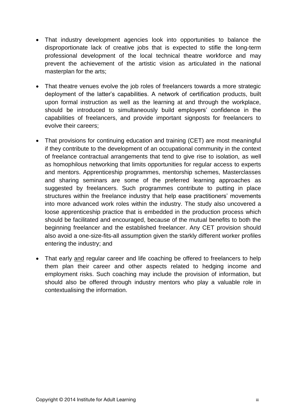- That industry development agencies look into opportunities to balance the disproportionate lack of creative jobs that is expected to stifle the long-term professional development of the local technical theatre workforce and may prevent the achievement of the artistic vision as articulated in the national masterplan for the arts;
- That theatre venues evolve the job roles of freelancers towards a more strategic deployment of the latter's capabilities. A network of certification products, built upon formal instruction as well as the learning at and through the workplace, should be introduced to simultaneously build employers' confidence in the capabilities of freelancers, and provide important signposts for freelancers to evolve their careers;
- That provisions for continuing education and training (CET) are most meaningful if they contribute to the development of an occupational community in the context of freelance contractual arrangements that tend to give rise to isolation, as well as homophilous networking that limits opportunities for regular access to experts and mentors. Apprenticeship programmes, mentorship schemes, Masterclasses and sharing seminars are some of the preferred learning approaches as suggested by freelancers. Such programmes contribute to putting in place structures within the freelance industry that help ease practitioners' movements into more advanced work roles within the industry. The study also uncovered a loose apprenticeship practice that is embedded in the production process which should be facilitated and encouraged, because of the mutual benefits to both the beginning freelancer and the established freelancer. Any CET provision should also avoid a one-size-fits-all assumption given the starkly different worker profiles entering the industry; and
- That early and regular career and life coaching be offered to freelancers to help them plan their career and other aspects related to hedging income and employment risks. Such coaching may include the provision of information, but should also be offered through industry mentors who play a valuable role in contextualising the information.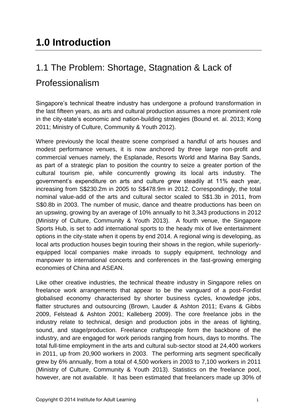## <span id="page-10-1"></span><span id="page-10-0"></span>1.1 The Problem: Shortage, Stagnation & Lack of Professionalism

Singapore's technical theatre industry has undergone a profound transformation in the last fifteen years, as arts and cultural production assumes a more prominent role in the city-state's economic and nation-building strategies (Bound et. al. 2013; Kong 2011; Ministry of Culture, Community & Youth 2012).

Where previously the local theatre scene comprised a handful of arts houses and modest performance venues, it is now anchored by three large non-profit and commercial venues namely, the Esplanade, Resorts World and Marina Bay Sands, as part of a strategic plan to position the country to seize a greater portion of the cultural tourism pie, while concurrently growing its local arts industry. The government's expenditure on arts and culture grew steadily at 11% each year, increasing from S\$230.2m in 2005 to S\$478.9m in 2012. Correspondingly, the total nominal value-add of the arts and cultural sector scaled to S\$1.3b in 2011, from S\$0.8b in 2003. The number of music, dance and theatre productions has been on an upswing, growing by an average of 10% annually to hit 3,343 productions in 2012 (Ministry of Culture, Community & Youth 2013). A fourth venue, the Singapore Sports Hub, is set to add international sports to the heady mix of live entertainment options in the city-state when it opens by end 2014. A regional wing is developing, as local arts production houses begin touring their shows in the region, while superiorlyequipped local companies make inroads to supply equipment, technology and manpower to international concerts and conferences in the fast-growing emerging economies of China and ASEAN.

Like other creative industries, the technical theatre industry in Singapore relies on freelance work arrangements that appear to be the vanguard of a post-Fordist globalised economy characterised by shorter business cycles, knowledge jobs, flatter structures and outsourcing (Brown, Lauder & Ashton 2011; Evans & Gibbs 2009, Felstead & Ashton 2001; Kalleberg 2009). The core freelance jobs in the industry relate to technical, design and production jobs in the areas of lighting, sound, and stage/production. Freelance craftspeople form the backbone of the industry, and are engaged for work periods ranging from hours, days to months. The total full-time employment in the arts and cultural sub-sector stood at 24,400 workers in 2011, up from 20,900 workers in 2003. The performing arts segment specifically grew by 6% annually, from a total of 4,500 workers in 2003 to 7,100 workers in 2011 (Ministry of Culture, Community & Youth 2013). Statistics on the freelance pool, however, are not available. It has been estimated that freelancers made up 30% of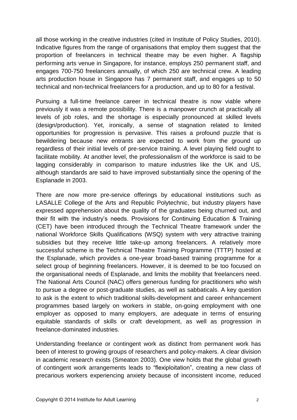all those working in the creative industries (cited in Institute of Policy Studies, 2010). Indicative figures from the range of organisations that employ them suggest that the proportion of freelancers in technical theatre may be even higher. A flagship performing arts venue in Singapore, for instance, employs 250 permanent staff, and engages 700-750 freelancers annually, of which 250 are technical crew. A leading arts production house in Singapore has 7 permanent staff, and engages up to 50 technical and non-technical freelancers for a production, and up to 80 for a festival.

Pursuing a full-time freelance career in technical theatre is now viable where previously it was a remote possibility. There is a manpower crunch at practically all levels of job roles, and the shortage is especially pronounced at skilled levels (design/production). Yet, ironically, a sense of stagnation related to limited opportunities for progression is pervasive. This raises a profound puzzle that is bewildering because new entrants are expected to work from the ground up regardless of their initial levels of pre-service training. A level playing field ought to facilitate mobility. At another level, the professionalism of the workforce is said to be lagging considerably in comparison to mature industries like the UK and US, although standards are said to have improved substantially since the opening of the Esplanade in 2003.

There are now more pre-service offerings by educational institutions such as LASALLE College of the Arts and Republic Polytechnic, but industry players have expressed apprehension about the quality of the graduates being churned out, and their fit with the industry's needs. Provisions for Continuing Education & Training (CET) have been introduced through the Technical Theatre framework under the national Workforce Skills Qualifications (WSQ) system with very attractive training subsidies but they receive little take-up among freelancers. A relatively more successful scheme is the Technical Theatre Training Programme (TTTP) hosted at the Esplanade, which provides a one-year broad-based training programme for a select group of beginning freelancers. However, it is deemed to be too focused on the organisational needs of Esplanade, and limits the mobility that freelancers need. The National Arts Council (NAC) offers generous funding for practitioners who wish to pursue a degree or post-graduate studies, as well as sabbaticals. A key question to ask is the extent to which traditional skills-development and career enhancement programmes based largely on workers in stable, on-going employment with one employer as opposed to many employers, are adequate in terms of ensuring equitable standards of skills or craft development, as well as progression in freelance-dominated industries.

Understanding freelance or contingent work as distinct from permanent work has been of interest to growing groups of researchers and policy-makers. A clear division in academic research exists (Smeaton 2003). One view holds that the global growth of contingent work arrangements leads to "flexiploitation", creating a new class of precarious workers experiencing anxiety because of inconsistent income, reduced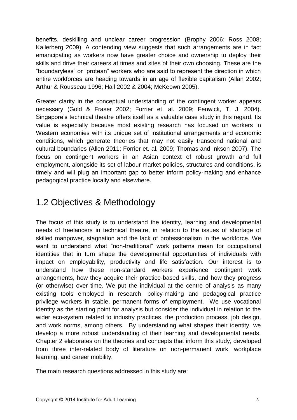benefits, deskilling and unclear career progression (Brophy 2006; Ross 2008; Kallerberg 2009). A contending view suggests that such arrangements are in fact emancipating as workers now have greater choice and ownership to deploy their skills and drive their careers at times and sites of their own choosing. These are the "boundaryless" or "protean" workers who are said to represent the direction in which entire workforces are heading towards in an age of flexible capitalism (Allan 2002; Arthur & Rousseau 1996; Hall 2002 & 2004; McKeown 2005).

Greater clarity in the conceptual understanding of the contingent worker appears necessary (Gold & Fraser 2002; Forrier et. al. 2009; Fenwick, T. J. 2004). Singapore's technical theatre offers itself as a valuable case study in this regard. Its value is especially because most existing research has focused on workers in Western economies with its unique set of institutional arrangements and economic conditions, which generate theories that may not easily transcend national and cultural boundaries (Allen 2011; Forrier et. al. 2009; Thomas and Inkson 2007). The focus on contingent workers in an Asian context of robust growth and full employment, alongside its set of labour market policies, structures and conditions, is timely and will plug an important gap to better inform policy-making and enhance pedagogical practice locally and elsewhere.

### <span id="page-12-0"></span>1.2 Objectives & Methodology

The focus of this study is to understand the identity, learning and developmental needs of freelancers in technical theatre, in relation to the issues of shortage of skilled manpower, stagnation and the lack of professionalism in the workforce. We want to understand what "non-traditional" work patterns mean for occupational identities that in turn shape the developmental opportunities of individuals with impact on employability, productivity and life satisfaction. Our interest is to understand how these non-standard workers experience contingent work arrangements, how they acquire their practice-based skills, and how they progress (or otherwise) over time. We put the individual at the centre of analysis as many existing tools employed in research, policy-making and pedagogical practice privilege workers in stable, permanent forms of employment. We use vocational identity as the starting point for analysis but consider the individual in relation to the wider eco-system related to industry practices, the production process, job design, and work norms, among others. By understanding what shapes their identity, we develop a more robust understanding of their learning and developmental needs. Chapter 2 elaborates on the theories and concepts that inform this study, developed from three inter-related body of literature on non-permanent work, workplace learning, and career mobility.

The main research questions addressed in this study are: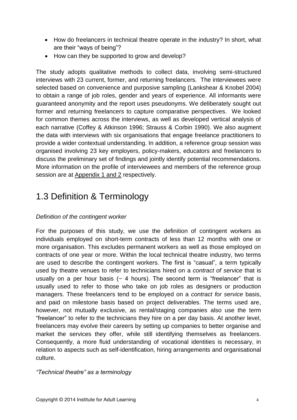- How do freelancers in technical theatre operate in the industry? In short, what are their "ways of being"?
- How can they be supported to grow and develop?

The study adopts qualitative methods to collect data, involving semi-structured interviews with 23 current, former, and returning freelancers. The interviewees were selected based on convenience and purposive sampling (Lankshear & Knobel 2004) to obtain a range of job roles, gender and years of experience. All informants were guaranteed anonymity and the report uses pseudonyms. We deliberately sought out former and returning freelancers to capture comparative perspectives. We looked for common themes across the interviews, as well as developed vertical analysis of each narrative (Coffey & Atkinson 1996; Strauss & Corbin 1990). We also augment the data with interviews with six organisations that engage freelance practitioners to provide a wider contextual understanding. In addition, a reference group session was organised involving 23 key employers, policy-makers, educators and freelancers to discuss the preliminary set of findings and jointly identify potential recommendations. More information on the profile of interviewees and members of the reference group session are at Appendix 1 and 2 respectively.

## <span id="page-13-0"></span>1.3 Definition & Terminology

#### *Definition of the contingent worker*

For the purposes of this study, we use the definition of contingent workers as individuals employed on short-term contracts of less than 12 months with one or more organisation. This excludes permanent workers as well as those employed on contracts of one year or more. Within the local technical theatre industry, two terms are used to describe the contingent workers. The first is "casual", a term typically used by theatre venues to refer to technicians hired on a *contract of service* that is usually on a per hour basis  $(-4 \text{ hours})$ . The second term is "freelancer" that is usually used to refer to those who take on job roles as designers or production managers. These freelancers tend to be employed on a *contract for service* basis, and paid on milestone basis based on project deliverables. The terms used are, however, not mutually exclusive, as rental/staging companies also use the term "freelancer" to refer to the technicians they hire on a per day basis. At another level, freelancers may evolve their careers by setting up companies to better organise and market the services they offer, while still identifying themselves as freelancers. Consequently, a more fluid understanding of vocational identities is necessary, in relation to aspects such as self-identification, hiring arrangements and organisational culture.

#### *"Technical theatre" as a terminology*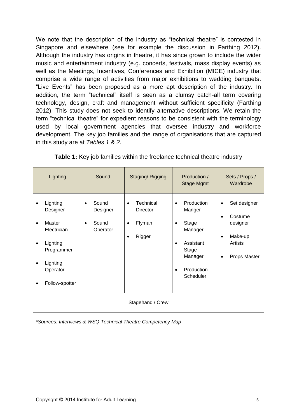We note that the description of the industry as "technical theatre" is contested in Singapore and elsewhere (see for example the discussion in Farthing 2012). Although the industry has origins in theatre, it has since grown to include the wider music and entertainment industry (e.g. concerts, festivals, mass display events) as well as the Meetings, Incentives, Conferences and Exhibition (MICE) industry that comprise a wide range of activities from major exhibitions to wedding banquets. "Live Events" has been proposed as a more apt description of the industry. In addition, the term "technical" itself is seen as a clumsy catch-all term covering technology, design, craft and management without sufficient specificity (Farthing 2012). This study does not seek to identify alternative descriptions. We retain the term "technical theatre" for expedient reasons to be consistent with the terminology used by local government agencies that oversee industry and workforce development. The key job families and the range of organisations that are captured in this study are at *Tables 1 & 2*.

|                                                       | Lighting                                                                                                          | Sound                                               | Staging/Rigging                                                    | Production /<br><b>Stage Mgmt</b>                                                                                                                        | Sets / Props /<br>Wardrobe                                                                                       |
|-------------------------------------------------------|-------------------------------------------------------------------------------------------------------------------|-----------------------------------------------------|--------------------------------------------------------------------|----------------------------------------------------------------------------------------------------------------------------------------------------------|------------------------------------------------------------------------------------------------------------------|
| $\bullet$<br>$\bullet$<br>$\bullet$<br>٠<br>$\bullet$ | Lighting<br>Designer<br>Master<br>Electrician<br>Lighting<br>Programmer<br>Lighting<br>Operator<br>Follow-spotter | Sound<br>$\bullet$<br>Designer<br>Sound<br>Operator | Technical<br>$\bullet$<br><b>Director</b><br>Flyman<br>Rigger<br>٠ | Production<br>$\bullet$<br>Manger<br>Stage<br>$\bullet$<br>Manager<br>Assistant<br>$\bullet$<br>Stage<br>Manager<br>Production<br>$\bullet$<br>Scheduler | Set designer<br>$\bullet$<br>Costume<br>designer<br>Make-up<br>$\bullet$<br>Artists<br>Props Master<br>$\bullet$ |
|                                                       | Stagehand / Crew                                                                                                  |                                                     |                                                                    |                                                                                                                                                          |                                                                                                                  |

| Table 1: Key job families within the freelance technical theatre industry |
|---------------------------------------------------------------------------|
|---------------------------------------------------------------------------|

*\*Sources: Interviews & WSQ Technical Theatre Competency Map*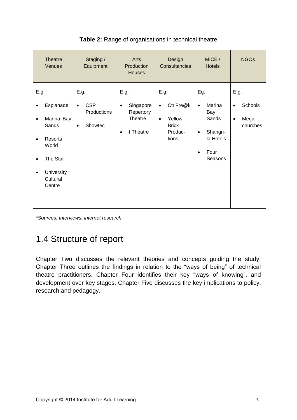| <b>Theatre</b><br>Venues                                                                                                                                                      | Staging /<br>Equipment                                                 | Arts<br>Production<br><b>Houses</b>                                              | Design<br>Consultancies                                                                   | MICE /<br><b>Hotels</b>                                                                                          | <b>NGOs</b>                                                    |
|-------------------------------------------------------------------------------------------------------------------------------------------------------------------------------|------------------------------------------------------------------------|----------------------------------------------------------------------------------|-------------------------------------------------------------------------------------------|------------------------------------------------------------------------------------------------------------------|----------------------------------------------------------------|
| E.g.<br>Esplanade<br>$\bullet$<br>Marina Bay<br>$\bullet$<br>Sands<br>Resorts<br>$\bullet$<br>World<br>The Star<br>$\bullet$<br>University<br>$\bullet$<br>Cultural<br>Centre | E.g.<br><b>CSP</b><br>$\bullet$<br>Productions<br>Showtec<br>$\bullet$ | E.g.<br>Singapore<br>$\bullet$<br>Repertory<br>Theatre<br>I Theatre<br>$\bullet$ | E.g.<br>CtrlFre@k<br>$\bullet$<br>Yellow<br>$\bullet$<br><b>Brick</b><br>Produc-<br>tions | Eg.<br>Marina<br>$\bullet$<br>Bay<br>Sands<br>Shangri-<br>$\bullet$<br>la Hotels<br>Four<br>$\bullet$<br>Seasons | E.g.<br>Schools<br>$\bullet$<br>Mega-<br>$\bullet$<br>churches |

#### **Table 2:** Range of organisations in technical theatre

*\*Sources: Interviews, internet research*

## <span id="page-15-0"></span>1.4 Structure of report

Chapter Two discusses the relevant theories and concepts guiding the study. Chapter Three outlines the findings in relation to the "ways of being" of technical theatre practitioners. Chapter Four identifies their key "ways of knowing", and development over key stages. Chapter Five discusses the key implications to policy, research and pedagogy.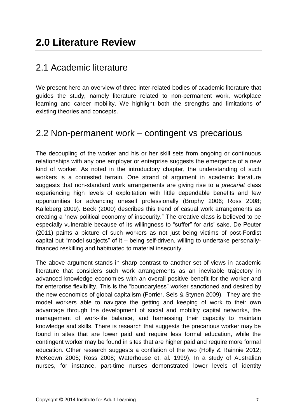## <span id="page-16-1"></span><span id="page-16-0"></span>2.1 Academic literature

We present here an overview of three inter-related bodies of academic literature that guides the study, namely literature related to non-permanent work, workplace learning and career mobility. We highlight both the strengths and limitations of existing theories and concepts.

## <span id="page-16-2"></span>2.2 Non-permanent work – contingent vs precarious

The decoupling of the worker and his or her skill sets from ongoing or continuous relationships with any one employer or enterprise suggests the emergence of a new kind of worker. As noted in the introductory chapter, the understanding of such workers is a contested terrain. One strand of argument in academic literature suggests that non-standard work arrangements are giving rise to a *precariat* class experiencing high levels of exploitation with little dependable benefits and few opportunities for advancing oneself professionally (Brophy 2006; Ross 2008; Kalleberg 2009). Beck (2000) describes this trend of casual work arrangements as creating a "new political economy of insecurity." The creative class is believed to be especially vulnerable because of its willingness to "suffer" for arts' sake. De Peuter (2011) paints a picture of such workers as not just being victims of post-Fordist capital but "model subjects" of it – being self-driven, willing to undertake personallyfinanced reskilling and habituated to material insecurity.

The above argument stands in sharp contrast to another set of views in academic literature that considers such work arrangements as an inevitable trajectory in advanced knowledge economies with an overall positive benefit for the worker and for enterprise flexibility. This is the "boundaryless" worker sanctioned and desired by the new economics of global capitalism (Forrier, Sels & Stynen 2009). They are the model workers able to navigate the getting and keeping of work to their own advantage through the development of social and mobility capital networks, the management of work-life balance, and harnessing their capacity to maintain knowledge and skills. There is research that suggests the precarious worker may be found in sites that are lower paid and require less formal education, while the contingent worker may be found in sites that are higher paid and require more formal education. Other research suggests a conflation of the two (Holly & Rainnie 2012; McKeown 2005; Ross 2008; Waterhouse et. al. 1999). In a study of Australian nurses, for instance, part-time nurses demonstrated lower levels of identity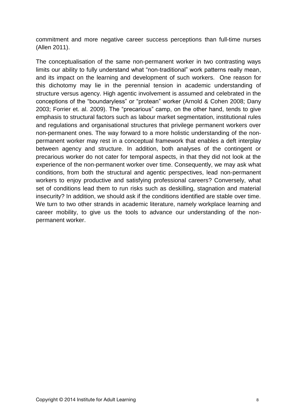commitment and more negative career success perceptions than full-time nurses (Allen 2011).

The conceptualisation of the same non-permanent worker in two contrasting ways limits our ability to fully understand what "non-traditional" work patterns really mean, and its impact on the learning and development of such workers. One reason for this dichotomy may lie in the perennial tension in academic understanding of structure versus agency. High agentic involvement is assumed and celebrated in the conceptions of the "boundaryless" or "protean" worker (Arnold & Cohen 2008; Dany 2003; Forrier et. al. 2009). The "precarious" camp, on the other hand, tends to give emphasis to structural factors such as labour market segmentation, institutional rules and regulations and organisational structures that privilege permanent workers over non-permanent ones. The way forward to a more holistic understanding of the nonpermanent worker may rest in a conceptual framework that enables a deft interplay between agency and structure. In addition, both analyses of the contingent or precarious worker do not cater for temporal aspects, in that they did not look at the experience of the non-permanent worker over time. Consequently, we may ask what conditions, from both the structural and agentic perspectives, lead non-permanent workers to enjoy productive and satisfying professional careers? Conversely, what set of conditions lead them to run risks such as deskilling, stagnation and material insecurity? In addition, we should ask if the conditions identified are stable over time. We turn to two other strands in academic literature, namely workplace learning and career mobility, to give us the tools to advance our understanding of the nonpermanent worker.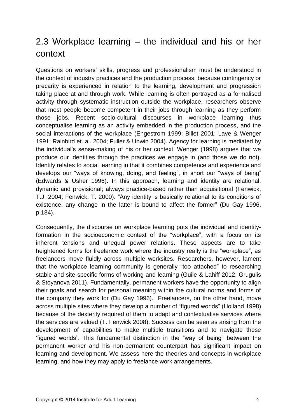## <span id="page-18-0"></span>2.3 Workplace learning – the individual and his or her context

Questions on workers' skills, progress and professionalism must be understood in the context of industry practices and the production process, because contingency or precarity is experienced in relation to the learning, development and progression taking place at and through work. While learning is often portrayed as a formalised activity through systematic instruction outside the workplace, researchers observe that most people become competent in their jobs through learning as they perform those jobs. Recent socio-cultural discourses in workplace learning thus conceptualise learning as an activity embedded in the production process, and the social interactions of the workplace (Engestrom 1999; Billet 2001; Lave & Wenger 1991; Rainbird et. al. 2004; Fuller & Unwin 2004). Agency for learning is mediated by the individual's sense-making of his or her context. Wenger (1998) argues that we produce our identities through the practices we engage in (and those we do not). Identity relates to social learning in that it combines competence and experience and develops our "ways of knowing, doing, and feeling", in short our "ways of being" (Edwards & Usher 1996). In this approach, learning and identity are relational, dynamic and provisional; always practice-based rather than acquisitional (Fenwick, T.J. 2004; Fenwick, T. 2000). "Any identity is basically relational to its conditions of existence, any change in the latter is bound to affect the former" (Du Gay 1996, p.184).

Consequently, the discourse on workplace learning puts the individual and identityformation in the socioeconomic context of the "workplace", with a focus on its inherent tensions and unequal power relations. These aspects are to take heightened forms for freelance work where the industry really is the "workplace", as freelancers move fluidly across multiple worksites. Researchers, however, lament that the workplace learning community is generally "too attached" to researching stable and site-specific forms of working and learning (Guile & Lahiff 2012; Grugulis & Stoyanova 2011). Fundamentally, permanent workers have the opportunity to align their goals and search for personal meaning within the cultural norms and forms of the company they work for (Du Gay 1996). Freelancers, on the other hand, move across multiple sites where they develop a number of "figured worlds" (Holland 1998) because of the dexterity required of them to adapt and contextualise services where the services are valued (T. Fenwick 2008). Success can be seen as arising from the development of capabilities to make multiple transitions and to navigate these 'figured worlds'. This fundamental distinction in the "way of being" between the permanent worker and his non-permanent counterpart has significant impact on learning and development. We assess here the theories and concepts in workplace learning, and how they may apply to freelance work arrangements.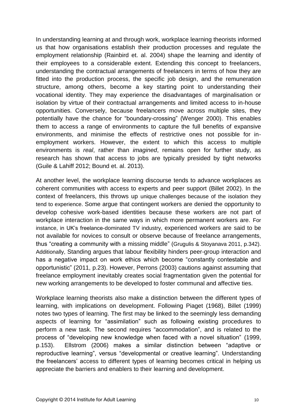In understanding learning at and through work, workplace learning theorists informed us that how organisations establish their production processes and regulate the employment relationship (Rainbird et. al. 2004) shape the learning and identity of their employees to a considerable extent. Extending this concept to freelancers, understanding the contractual arrangements of freelancers in terms of how they are fitted into the production process, the specific job design, and the remuneration structure, among others, become a key starting point to understanding their vocational identity. They may experience the disadvantages of marginalisation or isolation by virtue of their contractual arrangements and limited access to in-house opportunities. Conversely, because freelancers move across multiple sites, they potentially have the chance for "boundary-crossing" (Wenger 2000). This enables them to access a range of environments to capture the full benefits of expansive environments, and minimise the effects of restrictive ones not possible for inemployment workers. However, the extent to which this access to multiple environments is *real*, rather than *imagined*, remains open for further study, as research has shown that access to jobs are typically presided by tight networks (Guile & Lahiff 2012; Bound et. al. 2013).

At another level, the workplace learning discourse tends to advance workplaces as coherent communities with access to experts and peer support (Billet 2002). In the context of freelancers, this throws up unique challenges because of the isolation they tend to experience. Some argue that contingent workers are denied the opportunity to develop cohesive work-based identities because these workers are not part of workplace interaction in the same ways in which more permanent workers are. For instance, in UK's freelance-dominated TV industry, experienced workers are said to be not available for novices to consult or observe because of freelance arrangements, thus "creating a community with a missing middle" (Grugulis & Stoyanava 2011, p.342). Additionally, Standing argues that labour flexibility hinders peer-group interaction and has a negative impact on work ethics which become "constantly contestable and opportunistic" (2011, p.23). However, Perrons (2003) cautions against assuming that freelance employment inevitably creates social fragmentation given the potential for new working arrangements to be developed to foster communal and affective ties.

Workplace learning theorists also make a distinction between the different types of learning, with implications on development. Following Piaget (1968), Billet (1999) notes two types of learning. The first may be linked to the seemingly less demanding aspects of learning for "assimilation" such as following existing procedures to perform a new task. The second requires "accommodation", and is related to the process of "developing new knowledge when faced with a novel situation" (1999, p.153). Ellstrom (2006) makes a similar distinction between "adaptive or reproductive learning", versus "developmental or creative learning". Understanding the freelancers' access to different types of learning becomes critical in helping us appreciate the barriers and enablers to their learning and development.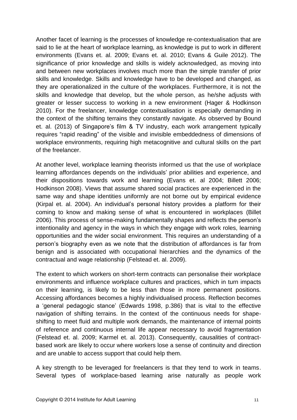Another facet of learning is the processes of knowledge re-contextualisation that are said to lie at the heart of workplace learning, as knowledge is put to work in different environments (Evans et. al. 2009; Evans et. al. 2010; Evans & Guile 2012). The significance of prior knowledge and skills is widely acknowledged, as moving into and between new workplaces involves much more than the simple transfer of prior skills and knowledge. Skills and knowledge have to be developed and changed, as they are operationalized in the culture of the workplaces. Furthermore, it is not the skills and knowledge that develop, but the whole person, as he/she adjusts with greater or lesser success to working in a new environment (Hager & Hodkinson 2010). For the freelancer, knowledge contextualisation is especially demanding in the context of the shifting terrains they constantly navigate. As observed by Bound et. al. (2013) of Singapore's film & TV industry, each work arrangement typically requires "rapid reading" of the visible and invisible embeddedness of dimensions of workplace environments, requiring high metacognitive and cultural skills on the part of the freelancer.

At another level, workplace learning theorists informed us that the use of workplace learning affordances depends on the individuals' prior abilities and experience, and their dispositions towards work and learning (Evans et. al 2004; Billett 2006; Hodkinson 2008). Views that assume shared social practices are experienced in the same way and shape identities uniformly are not borne out by empirical evidence (Kirpal et. al. 2004). An individual's personal history provides a platform for their coming to know and making sense of what is encountered in workplaces (Billet 2006). This process of sense-making fundamentally shapes and reflects the person's intentionality and agency in the ways in which they engage with work roles, learning opportunities and the wider social environment. This requires an understanding of a person's biography even as we note that the distribution of affordances is far from benign and is associated with occupational hierarchies and the dynamics of the contractual and wage relationship (Felstead et. al. 2009).

The extent to which workers on short-term contracts can personalise their workplace environments and influence workplace cultures and practices, which in turn impacts on their learning, is likely to be less than those in more permanent positions. Accessing affordances becomes a highly individualised process. Reflection becomes a 'general pedagogic stance' (Edwards 1998, p.386) that is vital to the effective navigation of shifting terrains. In the context of the continuous needs for shapeshifting to meet fluid and multiple work demands, the maintenance of internal points of reference and continuous internal life appear necessary to avoid fragmentation (Felstead et. al. 2009; Karmel et. al. 2013). Consequently, causalities of contractbased work are likely to occur where workers lose a sense of continuity and direction and are unable to access support that could help them.

A key strength to be leveraged for freelancers is that they tend to work in teams. Several types of workplace-based learning arise naturally as people work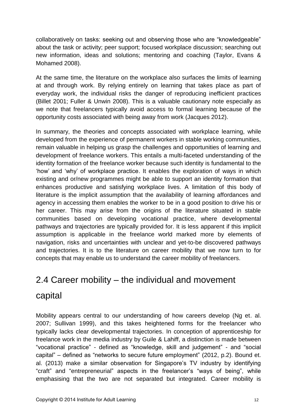collaboratively on tasks: seeking out and observing those who are "knowledgeable" about the task or activity; peer support; focused workplace discussion; searching out new information, ideas and solutions; mentoring and coaching (Taylor, Evans & Mohamed 2008).

At the same time, the literature on the workplace also surfaces the limits of learning at and through work. By relying entirely on learning that takes place as part of everyday work, the individual risks the danger of reproducing inefficient practices (Billet 2001; Fuller & Unwin 2008). This is a valuable cautionary note especially as we note that freelancers typically avoid access to formal learning because of the opportunity costs associated with being away from work (Jacques 2012).

In summary, the theories and concepts associated with workplace learning, while developed from the experience of permanent workers in stable working communities, remain valuable in helping us grasp the challenges and opportunities of learning and development of freelance workers. This entails a multi-faceted understanding of the identity formation of the freelance worker because such identity is fundamental to the 'how' and 'why' of workplace practice. It enables the exploration of ways in which existing and or/new programmes might be able to support an identity formation that enhances productive and satisfying workplace lives. A limitation of this body of literature is the implicit assumption that the availability of learning affordances and agency in accessing them enables the worker to be in a good position to drive his or her career. This may arise from the origins of the literature situated in stable communities based on developing vocational practice, where developmental pathways and trajectories are typically provided for. It is less apparent if this implicit assumption is applicable in the freelance world marked more by elements of navigation, risks and uncertainties with unclear and yet-to-be discovered pathways and trajectories. It is to the literature on career mobility that we now turn to for concepts that may enable us to understand the career mobility of freelancers.

## <span id="page-21-0"></span>2.4 Career mobility – the individual and movement capital

Mobility appears central to our understanding of how careers develop (Ng et. al. 2007; Sullivan 1999), and this takes heightened forms for the freelancer who typically lacks clear developmental trajectories. In conception of apprenticeship for freelance work in the media industry by Guile & Lahiff, a distinction is made between "vocational practice" - defined as "knowledge, skill and judgement" - and "social capital" – defined as "networks to secure future employment" (2012, p.2). Bound et. al. (2013) make a similar observation for Singapore's TV industry by identifying "craft" and "entrepreneurial" aspects in the freelancer's "ways of being", while emphasising that the two are not separated but integrated. Career mobility is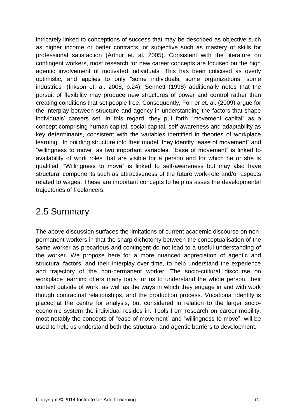intricately linked to conceptions of success that may be described as objective such as higher income or better contracts, or subjective such as mastery of skills for professional satisfaction (Arthur et. al. 2005). Consistent with the literature on contingent workers, most research for new career concepts are focused on the high agentic involvement of motivated individuals. This has been criticised as overly optimistic, and applies to only "some individuals, some organizations, some industries" (Inkson et. al. 2008, p.24). Sennett (1998) additionally notes that the pursuit of flexibility may produce new structures of power and control rather than creating conditions that set people free. Consequently, Forrier et. al. (2009) argue for the interplay between structure and agency in understanding the factors that shape individuals' careers set. In this regard, they put forth "movement capital" as a concept comprising human capital, social capital, self-awareness and adaptability as key determinants, consistent with the variables identified in theories of workplace learning. In building structure into their model, they identify "ease of movement" and "willingness to move" as two important variables. "Ease of movement" is linked to availability of work roles that are visible for a person and for which he or she is qualified. "Willingness to move" is linked to self-awareness but may also have structural components such as attractiveness of the future work-role and/or aspects related to wages. These are important concepts to help us asses the developmental trajectories of freelancers.

## <span id="page-22-0"></span>2.5 Summary

The above discussion surfaces the limitations of current academic discourse on nonpermanent workers in that the sharp dichotomy between the conceptualisation of the same worker as precarious and contingent do not lead to a useful understanding of the worker. We propose here for a more nuanced appreciation of agentic and structural factors, and their interplay over time, to help understand the experience and trajectory of the non-permanent worker. The socio-cultural discourse on workplace learning offers many tools for us to understand the whole person, their context outside of work, as well as the ways in which they engage in and with work though contractual relationships, and the production process. Vocational identity is placed at the centre for analysis, but considered in relation to the larger socioeconomic system the individual resides in. Tools from research on career mobility, most notably the concepts of "ease of movement" and "willingness to move", will be used to help us understand both the structural and agentic barriers to development.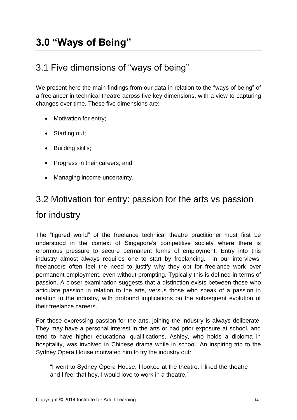# <span id="page-23-0"></span>**3.0 "Ways of Being"**

## <span id="page-23-1"></span>3.1 Five dimensions of "ways of being"

We present here the main findings from our data in relation to the "ways of being" of a freelancer in technical theatre across five key dimensions, with a view to capturing changes over time. These five dimensions are:

- Motivation for entry;
- Starting out;
- Building skills;
- Progress in their careers; and
- Managing income uncertainty.

# <span id="page-23-2"></span>3.2 Motivation for entry: passion for the arts vs passion for industry

The "figured world" of the freelance technical theatre practitioner must first be understood in the context of Singapore's competitive society where there is enormous pressure to secure permanent forms of employment. Entry into this industry almost always requires one to start by freelancing. In our interviews, freelancers often feel the need to justify why they opt for freelance work over permanent employment, even without prompting. Typically this is defined in terms of passion. A closer examination suggests that a distinction exists between those who articulate passion in relation to the arts, versus those who speak of a passion in relation to the industry, with profound implications on the subsequent evolution of their freelance careers.

For those expressing passion for the arts, joining the industry is always deliberate. They may have a personal interest in the arts or had prior exposure at school, and tend to have higher educational qualifications. Ashley, who holds a diploma in hospitality, was involved in Chinese drama while in school. An inspiring trip to the Sydney Opera House motivated him to try the industry out:

"I went to Sydney Opera House. I looked at the theatre. I liked the theatre and I feel that hey, I would love to work in a theatre."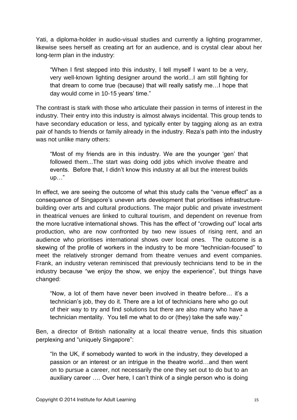Yati, a diploma-holder in audio-visual studies and currently a lighting programmer, likewise sees herself as creating art for an audience, and is crystal clear about her long-term plan in the industry:

"When I first stepped into this industry, I tell myself I want to be a very, very well-known lighting designer around the world...I am still fighting for that dream to come true (because) that will really satisfy me…I hope that day would come in 10-15 years' time."

The contrast is stark with those who articulate their passion in terms of interest in the industry. Their entry into this industry is almost always incidental. This group tends to have secondary education or less, and typically enter by tagging along as an extra pair of hands to friends or family already in the industry. Reza's path into the industry was not unlike many others:

"Most of my friends are in this industry. We are the younger 'gen' that followed them...The start was doing odd jobs which involve theatre and events. Before that, I didn't know this industry at all but the interest builds up…"

In effect, we are seeing the outcome of what this study calls the "venue effect" as a consequence of Singapore's uneven arts development that prioritises infrastructurebuilding over arts and cultural productions. The major public and private investment in theatrical venues are linked to cultural tourism, and dependent on revenue from the more lucrative international shows. This has the effect of "crowding out" local arts production, who are now confronted by two new issues of rising rent, and an audience who prioritises international shows over local ones. The outcome is a skewing of the profile of workers in the industry to be more "technician-focused" to meet the relatively stronger demand from theatre venues and event companies. Frank, an industry veteran reminisced that previously technicians tend to be in the industry because "we enjoy the show, we enjoy the experience", but things have changed:

"Now, a lot of them have never been involved in theatre before… it's a technician's job, they do it. There are a lot of technicians here who go out of their way to try and find solutions but there are also many who have a technician mentality. You tell me what to do or (they) take the safe way."

Ben, a director of British nationality at a local theatre venue, finds this situation perplexing and "uniquely Singapore":

"In the UK, if somebody wanted to work in the industry, they developed a passion or an interest or an intrigue in the theatre world…and then went on to pursue a career, not necessarily the one they set out to do but to an auxiliary career …. Over here, I can't think of a single person who is doing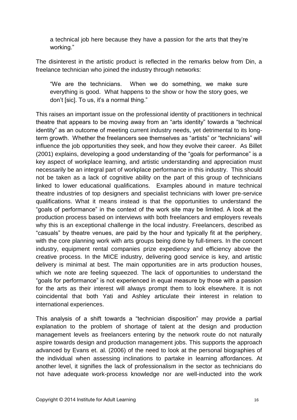a technical job here because they have a passion for the arts that they're working."

The disinterest in the artistic product is reflected in the remarks below from Din, a freelance technician who joined the industry through networks:

"We are the technicians. When we do something, we make sure everything is good. What happens to the show or how the story goes, we don't [sic]. To us, it's a normal thing."

This raises an important issue on the professional identity of practitioners in technical theatre that appears to be moving away from an "arts identity" towards a "technical identity" as an outcome of meeting current industry needs, yet detrimental to its longterm growth. Whether the freelancers see themselves as "artists" or "technicians" will influence the job opportunities they seek, and how they evolve their career. As Billet (2001) explains, developing a good understanding of the "goals for performance" is a key aspect of workplace learning, and artistic understanding and appreciation must necessarily be an integral part of workplace performance in this industry. This should not be taken as a lack of cognitive ability on the part of this group of technicians linked to lower educational qualifications. Examples abound in mature technical theatre industries of top designers and specialist technicians with lower pre-service qualifications. What it means instead is that the opportunities to understand the "goals of performance" in the context of the work site may be limited. A look at the production process based on interviews with both freelancers and employers reveals why this is an exceptional challenge in the local industry. Freelancers, described as "casuals" by theatre venues, are paid by the hour and typically fit at the periphery, with the core planning work with arts groups being done by full-timers. In the concert industry, equipment rental companies prize expediency and efficiency above the creative process. In the MICE industry, delivering good service is key, and artistic delivery is minimal at best. The main opportunities are in arts production houses, which we note are feeling squeezed. The lack of opportunities to understand the "goals for performance" is not experienced in equal measure by those with a passion for the arts as their interest will always prompt them to look elsewhere. It is not coincidental that both Yati and Ashley articulate their interest in relation to international experiences.

This analysis of a shift towards a "technician disposition" may provide a partial explanation to the problem of shortage of talent at the design and production management levels as freelancers entering by the network route do not naturally aspire towards design and production management jobs. This supports the approach advanced by Evans et. al. (2006) of the need to look at the personal biographies of the individual when assessing inclinations to partake in learning affordances. At another level, it signifies the lack of professionalism in the sector as technicians do not have adequate work-process knowledge nor are well-inducted into the work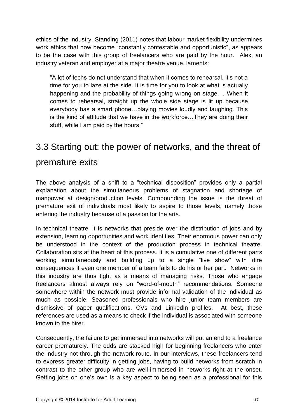ethics of the industry. Standing (2011) notes that labour market flexibility undermines work ethics that now become "constantly contestable and opportunistic", as appears to be the case with this group of freelancers who are paid by the hour. Alex, an industry veteran and employer at a major theatre venue, laments:

"A lot of techs do not understand that when it comes to rehearsal, it's not a time for you to laze at the side. It is time for you to look at what is actually happening and the probability of things going wrong on stage. .. When it comes to rehearsal, straight up the whole side stage is lit up because everybody has a smart phone…playing movies loudly and laughing. This is the kind of attitude that we have in the workforce…They are doing their stuff, while I am paid by the hours."

# <span id="page-26-0"></span>3.3 Starting out: the power of networks, and the threat of premature exits

The above analysis of a shift to a "technical disposition" provides only a partial explanation about the simultaneous problems of stagnation and shortage of manpower at design/production levels. Compounding the issue is the threat of premature exit of individuals most likely to aspire to those levels, namely those entering the industry because of a passion for the arts.

In technical theatre, it is networks that preside over the distribution of jobs and by extension, learning opportunities and work identities. Their enormous power can only be understood in the context of the production process in technical theatre. Collaboration sits at the heart of this process. It is a cumulative one of different parts working simultaneously and building up to a single "live show" with dire consequences if even one member of a team fails to do his or her part. Networks in this industry are thus tight as a means of managing risks. Those who engage freelancers almost always rely on "word-of-mouth" recommendations. Someone somewhere within the network must provide informal validation of the individual as much as possible. Seasoned professionals who hire junior team members are dismissive of paper qualifications, CVs and LinkedIn profiles. At best, these references are used as a means to check if the individual is associated with someone known to the hirer.

Consequently, the failure to get immersed into networks will put an end to a freelance career prematurely. The odds are stacked high for beginning freelancers who enter the industry not through the network route. In our interviews, these freelancers tend to express greater difficulty in getting jobs, having to build networks from scratch in contrast to the other group who are well-immersed in networks right at the onset. Getting jobs on one's own is a key aspect to being seen as a professional for this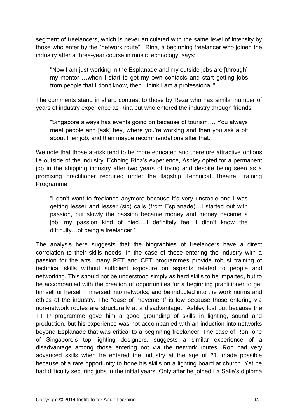segment of freelancers, which is never articulated with the same level of intensity by those who enter by the "network route". Rina, a beginning freelancer who joined the industry after a three-year course in music technology, says:

"Now I am just working in the Esplanade and my outside jobs are [through] my mentor …when I start to get my own contacts and start getting jobs from people that I don't know, then I think I am a professional."

The comments stand in sharp contrast to those by Reza who has similar number of years of industry experience as Rina but who entered the industry through friends:

"Singapore always has events going on because of tourism…. You always meet people and [ask] hey, where you're working and then you ask a bit about their job, and then maybe recommendations after that."

We note that those at-risk tend to be more educated and therefore attractive options lie outside of the industry. Echoing Rina's experience, Ashley opted for a permanent job in the shipping industry after two years of trying and despite being seen as a promising practitioner recruited under the flagship Technical Theatre Training Programme:

"I don't want to freelance anymore because it's very unstable and I was getting lesser and lesser (sic) calls (from Esplanade)…I started out with passion, but slowly the passion became money and money became a job…my passion kind of died….I definitely feel I didn't know the difficulty…of being a freelancer."

The analysis here suggests that the biographies of freelancers have a direct correlation to their skills needs. In the case of those entering the industry with a passion for the arts, many PET and CET programmes provide robust training of technical skills without sufficient exposure on aspects related to people and networking. This should not be understood simply as hard skills to be imparted, but to be accompanied with the creation of opportunities for a beginning practitioner to get himself or herself immersed into networks, and be inducted into the work norms and ethics of the industry. The "ease of movement" is low because those entering via non-network routes are structurally at a disadvantage. Ashley lost out because the TTTP programme gave him a good grounding of skills in lighting, sound and production, but his experience was not accompanied with an induction into networks beyond Esplanade that was critical to a beginning freelancer. The case of Ron, one of Singapore's top lighting designers, suggests a similar experience of a disadvantage among those entering not via the network routes. Ron had very advanced skills when he entered the industry at the age of 21, made possible because of a rare opportunity to hone his skills on a lighting board at church. Yet he had difficulty securing jobs in the initial years. Only after he joined La Salle's diploma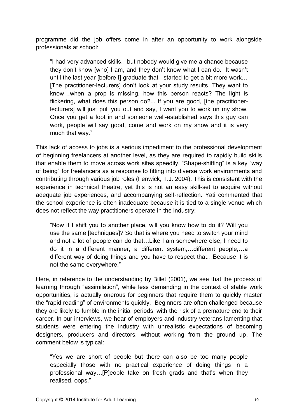programme did the job offers come in after an opportunity to work alongside professionals at school:

"I had very advanced skills…but nobody would give me a chance because they don't know [who] I am, and they don't know what I can do. It wasn't until the last year [before I] graduate that I started to get a bit more work… [The practitioner-lecturers] don't look at your study results. They want to know…when a prop is missing, how this person reacts? The light is flickering, what does this person do?... If you are good, [the practitionerlecturers] will just pull you out and say, I want you to work on my show. Once you get a foot in and someone well-established says this guy can work, people will say good, come and work on my show and it is very much that way."

This lack of access to jobs is a serious impediment to the professional development of beginning freelancers at another level, as they are required to rapidly build skills that enable them to move across work sites speedily. "Shape-shifting" is a key "way of being" for freelancers as a response to fitting into diverse work environments and contributing through various job roles (Fenwick, T.J. 2004). This is consistent with the experience in technical theatre, yet this is not an easy skill-set to acquire without adequate job experiences, and accompanying self-reflection. Yati commented that the school experience is often inadequate because it is tied to a single venue which does not reflect the way practitioners operate in the industry:

"Now if I shift you to another place, will you know how to do it? Will you use the same [techniques]? So that is where you need to switch your mind and not a lot of people can do that…Like I am somewhere else, I need to do it in a different manner, a different system,…different people,…a different way of doing things and you have to respect that…Because it is not the same everywhere."

Here, in reference to the understanding by Billet (2001), we see that the process of learning through "assimilation", while less demanding in the context of stable work opportunities, is actually onerous for beginners that require them to quickly master the "rapid reading" of environments quickly. Beginners are often challenged because they are likely to fumble in the initial periods, with the risk of a premature end to their career. In our interviews, we hear of employers and industry veterans lamenting that students were entering the industry with unrealistic expectations of becoming designers, producers and directors, without working from the ground up. The comment below is typical:

"Yes we are short of people but there can also be too many people especially those with no practical experience of doing things in a professional way…[P]eople take on fresh grads and that's when they realised, oops."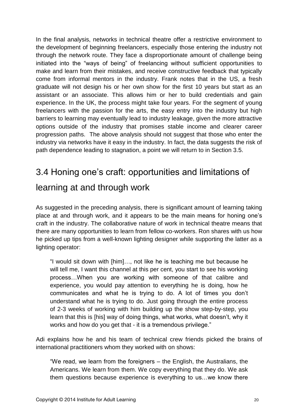In the final analysis, networks in technical theatre offer a restrictive environment to the development of beginning freelancers, especially those entering the industry not through the network route. They face a disproportionate amount of challenge being initiated into the "ways of being" of freelancing without sufficient opportunities to make and learn from their mistakes, and receive constructive feedback that typically come from informal mentors in the industry. Frank notes that in the US, a fresh graduate will not design his or her own show for the first 10 years but start as an assistant or an associate. This allows him or her to build credentials and gain experience. In the UK, the process might take four years. For the segment of young freelancers with the passion for the arts, the easy entry into the industry but high barriers to learning may eventually lead to industry leakage, given the more attractive options outside of the industry that promises stable income and clearer career progression paths. The above analysis should not suggest that those who enter the industry via networks have it easy in the industry. In fact, the data suggests the risk of path dependence leading to stagnation, a point we will return to in Section 3.5.

# <span id="page-29-0"></span>3.4 Honing one's craft: opportunities and limitations of learning at and through work

As suggested in the preceding analysis, there is significant amount of learning taking place at and through work, and it appears to be the main means for honing one's craft in the industry. The collaborative nature of work in technical theatre means that there are many opportunities to learn from fellow co-workers. Ron shares with us how he picked up tips from a well-known lighting designer while supporting the latter as a lighting operator:

"I would sit down with [him]…, not like he is teaching me but because he will tell me, I want this channel at this per cent, you start to see his working process…When you are working with someone of that calibre and experience, you would pay attention to everything he is doing, how he communicates and what he is trying to do. A lot of times you don't understand what he is trying to do. Just going through the entire process of 2-3 weeks of working with him building up the show step-by-step, you learn that this is [his] way of doing things, what works, what doesn't, why it works and how do you get that - it is a tremendous privilege."

Adi explains how he and his team of technical crew friends picked the brains of international practitioners whom they worked with on shows:

"We read, we learn from the foreigners – the English, the Australians, the Americans. We learn from them. We copy everything that they do. We ask them questions because experience is everything to us…we know there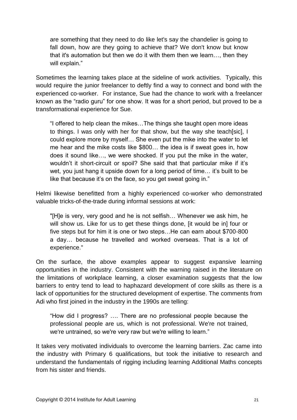are something that they need to do like let's say the chandelier is going to fall down, how are they going to achieve that? We don't know but know that it's automation but then we do it with them then we learn…, then they will explain."

Sometimes the learning takes place at the sideline of work activities. Typically, this would require the junior freelancer to deftly find a way to connect and bond with the experienced co-worker. For instance, Sue had the chance to work with a freelancer known as the "radio guru" for one show. It was for a short period, but proved to be a transformational experience for Sue.

"I offered to help clean the mikes…The things she taught open more ideas to things. I was only with her for that show, but the way she teach[sic], I could explore more by myself… She even put the mike into the water to let me hear and the mike costs like \$800… the idea is if sweat goes in, how does it sound like…, we were shocked. If you put the mike in the water, wouldn't it short-circuit or spoil? She said that that particular mike if it's wet, you just hang it upside down for a long period of time… it's built to be like that because it's on the face, so you get sweat going in."

Helmi likewise benefitted from a highly experienced co-worker who demonstrated valuable tricks-of-the-trade during informal sessions at work:

"[H]e is very, very good and he is not selfish… Whenever we ask him, he will show us. Like for us to get these things done, [it would be in] four or five steps but for him it is one or two steps…He can earn about \$700-800 a day… because he travelled and worked overseas. That is a lot of experience."

On the surface, the above examples appear to suggest expansive learning opportunities in the industry. Consistent with the warning raised in the literature on the limitations of workplace learning, a closer examination suggests that the low barriers to entry tend to lead to haphazard development of core skills as there is a lack of opportunities for the structured development of expertise. The comments from Adi who first joined in the industry in the 1990s are telling:

"How did I progress? …. There are no professional people because the professional people are us, which is not professional. We're not trained, we're untrained, so we're very raw but we're willing to learn."

It takes very motivated individuals to overcome the learning barriers. Zac came into the industry with Primary 6 qualifications, but took the initiative to research and understand the fundamentals of rigging including learning Additional Maths concepts from his sister and friends.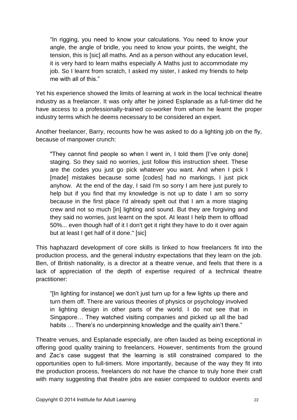"In rigging, you need to know your calculations. You need to know your angle, the angle of bridle, you need to know your points, the weight, the tension, this is [sic] all maths. And as a person without any education level, it is very hard to learn maths especially A Maths just to accommodate my job. So I learnt from scratch, I asked my sister, I asked my friends to help me with all of this."

Yet his experience showed the limits of learning at work in the local technical theatre industry as a freelancer. It was only after he joined Esplanade as a full-timer did he have access to a professionally-trained co-worker from whom he learnt the proper industry terms which he deems necessary to be considered an expert.

Another freelancer, Barry, recounts how he was asked to do a lighting job on the fly, because of manpower crunch:

"They cannot find people so when I went in, I told them [I've only done] staging. So they said no worries, just follow this instruction sheet. These are the codes you just go pick whatever you want. And when I pick I [made] mistakes because some [codes] had no markings, I just pick anyhow. At the end of the day, I said I'm so sorry I am here just purely to help but if you find that my knowledge is not up to date I am so sorry because in the first place I'd already spelt out that I am a more staging crew and not so much [in] lighting and sound. But they are forgiving and they said no worries, just learnt on the spot. At least I help them to offload 50%... even though half of it I don't get it right they have to do it over again but at least I get half of it done." [sic]

This haphazard development of core skills is linked to how freelancers fit into the production process, and the general industry expectations that they learn on the job. Ben, of British nationality, is a director at a theatre venue, and feels that there is a lack of appreciation of the depth of expertise required of a technical theatre practitioner:

"[In lighting for instance] we don't just turn up for a few lights up there and turn them off. There are various theories of physics or psychology involved in lighting design in other parts of the world. I do not see that in Singapore… They watched visiting companies and picked up all the bad habits ... There's no underpinning knowledge and the quality ain't there."

Theatre venues, and Esplanade especially, are often lauded as being exceptional in offering good quality training to freelancers. However, sentiments from the ground and Zac's case suggest that the learning is still constrained compared to the opportunities open to full-timers. More importantly, because of the way they fit into the production process, freelancers do not have the chance to truly hone their craft with many suggesting that theatre jobs are easier compared to outdoor events and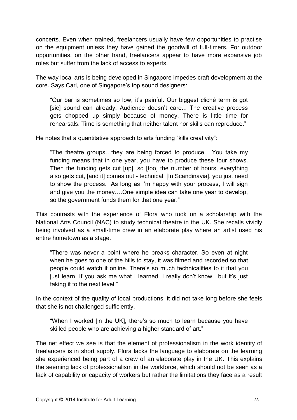concerts. Even when trained, freelancers usually have few opportunities to practise on the equipment unless they have gained the goodwill of full-timers. For outdoor opportunities, on the other hand, freelancers appear to have more expansive job roles but suffer from the lack of access to experts.

The way local arts is being developed in Singapore impedes craft development at the core. Says Carl, one of Singapore's top sound designers:

"Our bar is sometimes so low, it's painful. Our biggest cliché term is got [sic] sound can already. Audience doesn't care... The creative process gets chopped up simply because of money. There is little time for rehearsals. Time is something that neither talent nor skills can reproduce."

He notes that a quantitative approach to arts funding "kills creativity":

"The theatre groups…they are being forced to produce. You take my funding means that in one year, you have to produce these four shows. Then the funding gets cut [up], so [too] the number of hours, everything also gets cut, [and it] comes out - technical. [In Scandinavia], you just need to show the process. As long as I'm happy with your process, I will sign and give you the money….One simple idea can take one year to develop, so the government funds them for that one year."

This contrasts with the experience of Flora who took on a scholarship with the National Arts Council (NAC) to study technical theatre in the UK. She recalls vividly being involved as a small-time crew in an elaborate play where an artist used his entire hometown as a stage.

"There was never a point where he breaks character. So even at night when he goes to one of the hills to stay, it was filmed and recorded so that people could watch it online. There's so much technicalities to it that you just learn. If you ask me what I learned, I really don't know…but it's just taking it to the next level."

In the context of the quality of local productions, it did not take long before she feels that she is not challenged sufficiently.

"When I worked [in the UK], there's so much to learn because you have skilled people who are achieving a higher standard of art."

The net effect we see is that the element of professionalism in the work identity of freelancers is in short supply. Flora lacks the language to elaborate on the learning she experienced being part of a crew of an elaborate play in the UK. This explains the seeming lack of professionalism in the workforce, which should not be seen as a lack of capability or capacity of workers but rather the limitations they face as a result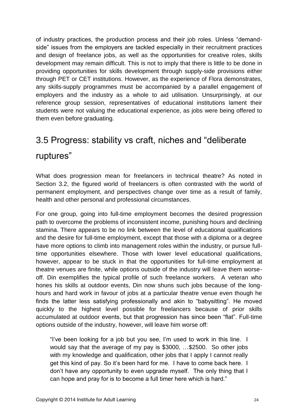of industry practices, the production process and their job roles. Unless "demandside" issues from the employers are tackled especially in their recruitment practices and design of freelance jobs, as well as the opportunities for creative roles, skills development may remain difficult. This is not to imply that there is little to be done in providing opportunities for skills development through supply-side provisions either through PET or CET institutions. However, as the experience of Flora demonstrates, any skills-supply programmes must be accompanied by a parallel engagement of employers and the industry as a whole to aid utilisation. Unsurprisingly, at our reference group session, representatives of educational institutions lament their students were not valuing the educational experience, as jobs were being offered to them even before graduating.

## <span id="page-33-0"></span>3.5 Progress: stability vs craft, niches and "deliberate ruptures"

What does progression mean for freelancers in technical theatre? As noted in Section 3.2, the figured world of freelancers is often contrasted with the world of permanent employment, and perspectives change over time as a result of family, health and other personal and professional circumstances.

For one group, going into full-time employment becomes the desired progression path to overcome the problems of inconsistent income, punishing hours and declining stamina. There appears to be no link between the level of educational qualifications and the desire for full-time employment, except that those with a diploma or a degree have more options to climb into management roles within the industry, or pursue fulltime opportunities elsewhere. Those with lower level educational qualifications, however, appear to be stuck in that the opportunities for full-time employment at theatre venues are finite, while options outside of the industry will leave them worseoff. Din exemplifies the typical profile of such freelance workers. A veteran who hones his skills at outdoor events, Din now shuns such jobs because of the longhours and hard work in favour of jobs at a particular theatre venue even though he finds the latter less satisfying professionally and akin to "babysitting". He moved quickly to the highest level possible for freelancers because of prior skills accumulated at outdoor events, but that progression has since been "flat". Full-time options outside of the industry, however, will leave him worse off:

"I've been looking for a job but you see, I'm used to work in this line. I would say that the average of my pay is \$3000, …\$2500. So other jobs with my knowledge and qualification, other jobs that I apply I cannot really get this kind of pay. So it's been hard for me. I have to come back here. I don't have any opportunity to even upgrade myself. The only thing that I can hope and pray for is to become a full timer here which is hard."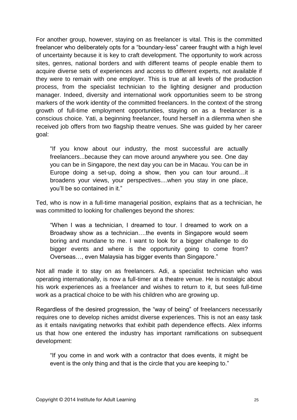For another group, however, staying on as freelancer is vital. This is the committed freelancer who deliberately opts for a "boundary-less" career fraught with a high level of uncertainty because it is key to craft development. The opportunity to work across sites, genres, national borders and with different teams of people enable them to acquire diverse sets of experiences and access to different experts, not available if they were to remain with one employer. This is true at all levels of the production process, from the specialist technician to the lighting designer and production manager. Indeed, diversity and international work opportunities seem to be strong markers of the work identity of the committed freelancers. In the context of the strong growth of full-time employment opportunities, staying on as a freelancer is a conscious choice. Yati, a beginning freelancer, found herself in a dilemma when she received job offers from two flagship theatre venues. She was guided by her career goal:

"If you know about our industry, the most successful are actually freelancers...because they can move around anywhere you see. One day you can be in Singapore, the next day you can be in Macau. You can be in Europe doing a set-up, doing a show, then you can tour around…it broadens your views, your perspectives....when you stay in one place, you'll be so contained in it."

Ted, who is now in a full-time managerial position, explains that as a technician, he was committed to looking for challenges beyond the shores:

"When I was a technician, I dreamed to tour. I dreamed to work on a Broadway show as a technician….the events in Singapore would seem boring and mundane to me. I want to look for a bigger challenge to do bigger events and where is the opportunity going to come from? Overseas…, even Malaysia has bigger events than Singapore."

Not all made it to stay on as freelancers. Adi, a specialist technician who was operating internationally, is now a full-timer at a theatre venue. He is nostalgic about his work experiences as a freelancer and wishes to return to it, but sees full-time work as a practical choice to be with his children who are growing up.

Regardless of the desired progression, the "way of being" of freelancers necessarily requires one to develop niches amidst diverse experiences. This is not an easy task as it entails navigating networks that exhibit path dependence effects. Alex informs us that how one entered the industry has important ramifications on subsequent development:

"If you come in and work with a contractor that does events, it might be event is the only thing and that is the circle that you are keeping to."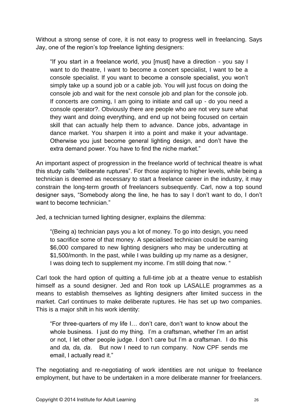Without a strong sense of core, it is not easy to progress well in freelancing. Says Jay, one of the region's top freelance lighting designers:

"If you start in a freelance world, you [must] have a direction - you say I want to do theatre, I want to become a concert specialist, I want to be a console specialist. If you want to become a console specialist, you won't simply take up a sound job or a cable job. You will just focus on doing the console job and wait for the next console job and plan for the console job. If concerts are coming, I am going to initiate and call up - do you need a console operator?. Obviously there are people who are not very sure what they want and doing everything, and end up not being focused on certain skill that can actually help them to advance. Dance jobs, advantage in dance market. You sharpen it into a point and make it your advantage. Otherwise you just become general lighting design, and don't have the extra demand power. You have to find the niche market."

An important aspect of progression in the freelance world of technical theatre is what this study calls "deliberate ruptures". For those aspiring to higher levels, while being a technician is deemed as necessary to start a freelance career in the industry, it may constrain the long-term growth of freelancers subsequently. Carl, now a top sound designer says, "Somebody along the line, he has to say I don't want to do, I don't want to become technician."

Jed, a technician turned lighting designer, explains the dilemma:

"(Being a) technician pays you a lot of money. To go into design, you need to sacrifice some of that money. A specialised technician could be earning \$6,000 compared to new lighting designers who may be undercutting at \$1,500/month. In the past, while I was building up my name as a designer, I was doing tech to supplement my income. I'm still doing that now. "

Carl took the hard option of quitting a full-time job at a theatre venue to establish himself as a sound designer. Jed and Ron took up LASALLE programmes as a means to establish themselves as lighting designers after limited success in the market. Carl continues to make deliberate ruptures. He has set up two companies. This is a major shift in his work identity:

"For three-quarters of my life I… don't care, don't want to know about the whole business. I just do my thing. I'm a craftsman, whether I'm an artist or not, I let other people judge. I don't care but I'm a craftsman. I do this and *da, da, da*. But now I need to run company. Now CPF sends me email, I actually read it."

The negotiating and re-negotiating of work identities are not unique to freelance employment, but have to be undertaken in a more deliberate manner for freelancers.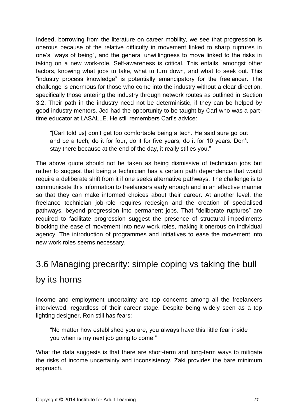Indeed, borrowing from the literature on career mobility, we see that progression is onerous because of the relative difficulty in movement linked to sharp ruptures in one's "ways of being", and the general unwillingness to move linked to the risks in taking on a new work-role. Self-awareness is critical. This entails, amongst other factors, knowing what jobs to take, what to turn down, and what to seek out. This "industry process knowledge" is potentially emancipatory for the freelancer. The challenge is enormous for those who come into the industry without a clear direction, specifically those entering the industry through network routes as outlined in Section 3.2. Their path in the industry need not be deterministic, if they can be helped by good industry mentors. Jed had the opportunity to be taught by Carl who was a parttime educator at LASALLE. He still remembers Carl's advice:

"[Carl told us] don't get too comfortable being a tech. He said sure go out and be a tech, do it for four, do it for five years, do it for 10 years. Don't stay there because at the end of the day, it really stifles you."

The above quote should not be taken as being dismissive of technician jobs but rather to suggest that being a technician has a certain path dependence that would require a deliberate shift from it if one seeks alternative pathways. The challenge is to communicate this information to freelancers early enough and in an effective manner so that they can make informed choices about their career. At another level, the freelance technician job-role requires redesign and the creation of specialised pathways, beyond progression into permanent jobs. That "deliberate ruptures" are required to facilitate progression suggest the presence of structural impediments blocking the ease of movement into new work roles, making it onerous on individual agency. The introduction of programmes and initiatives to ease the movement into new work roles seems necessary.

## <span id="page-36-0"></span>3.6 Managing precarity: simple coping vs taking the bull

#### by its horns

Income and employment uncertainty are top concerns among all the freelancers interviewed, regardless of their career stage. Despite being widely seen as a top lighting designer, Ron still has fears:

"No matter how established you are, you always have this little fear inside you when is my next job going to come."

What the data suggests is that there are short-term and long-term ways to mitigate the risks of income uncertainty and inconsistency. Zaki provides the bare minimum approach.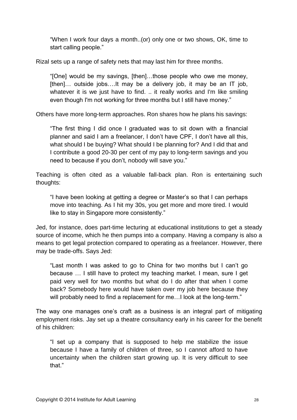"When I work four days a month..(or) only one or two shows, OK, time to start calling people."

Rizal sets up a range of safety nets that may last him for three months.

"[One] would be my savings, [then]…those people who owe me money, [then]... outside jobs....It may be a delivery job, it may be an IT job, whatever it is we just have to find. .. it really works and I'm like smiling even though I'm not working for three months but I still have money."

Others have more long-term approaches. Ron shares how he plans his savings:

"The first thing I did once I graduated was to sit down with a financial planner and said I am a freelancer, I don't have CPF, I don't have all this, what should I be buying? What should I be planning for? And I did that and I contribute a good 20-30 per cent of my pay to long-term savings and you need to because if you don't, nobody will save you."

Teaching is often cited as a valuable fall-back plan. Ron is entertaining such thoughts:

"I have been looking at getting a degree or Master's so that I can perhaps move into teaching. As I hit my 30s, you get more and more tired. I would like to stay in Singapore more consistently."

Jed, for instance, does part-time lecturing at educational institutions to get a steady source of income, which he then pumps into a company. Having a company is also a means to get legal protection compared to operating as a freelancer. However, there may be trade-offs. Says Jed:

"Last month I was asked to go to China for two months but I can't go because … I still have to protect my teaching market. I mean, sure I get paid very well for two months but what do I do after that when I come back? Somebody here would have taken over my job here because they will probably need to find a replacement for me... I look at the long-term."

The way one manages one's craft as a business is an integral part of mitigating employment risks. Jay set up a theatre consultancy early in his career for the benefit of his children:

"I set up a company that is supposed to help me stabilize the issue because I have a family of children of three, so I cannot afford to have uncertainty when the children start growing up. It is very difficult to see that"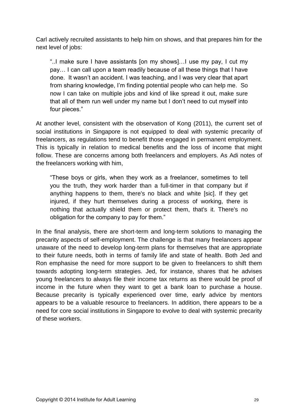Carl actively recruited assistants to help him on shows, and that prepares him for the next level of jobs:

"..I make sure I have assistants [on my shows]…I use my pay, I cut my pay… I can call upon a team readily because of all these things that I have done. It wasn't an accident. I was teaching, and I was very clear that apart from sharing knowledge, I'm finding potential people who can help me. So now I can take on multiple jobs and kind of like spread it out, make sure that all of them run well under my name but I don't need to cut myself into four pieces."

At another level, consistent with the observation of Kong (2011), the current set of social institutions in Singapore is not equipped to deal with systemic precarity of freelancers, as regulations tend to benefit those engaged in permanent employment. This is typically in relation to medical benefits and the loss of income that might follow. These are concerns among both freelancers and employers. As Adi notes of the freelancers working with him,

"These boys or girls, when they work as a freelancer, sometimes to tell you the truth, they work harder than a full-timer in that company but if anything happens to them, there's no black and white [sic]. If they get injured, if they hurt themselves during a process of working, there is nothing that actually shield them or protect them, that's it. There's no obligation for the company to pay for them."

In the final analysis, there are short-term and long-term solutions to managing the precarity aspects of self-employment. The challenge is that many freelancers appear unaware of the need to develop long-term plans for themselves that are appropriate to their future needs, both in terms of family life and state of health. Both Jed and Ron emphasise the need for more support to be given to freelancers to shift them towards adopting long-term strategies. Jed, for instance, shares that he advises young freelancers to always file their income tax returns as there would be proof of income in the future when they want to get a bank loan to purchase a house. Because precarity is typically experienced over time, early advice by mentors appears to be a valuable resource to freelancers. In addition, there appears to be a need for core social institutions in Singapore to evolve to deal with systemic precarity of these workers.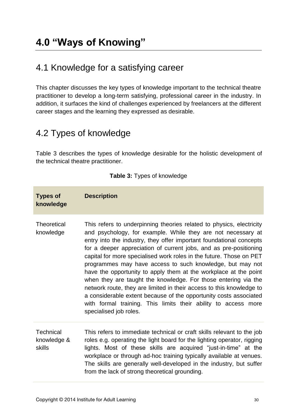## <span id="page-39-1"></span><span id="page-39-0"></span>4.1 Knowledge for a satisfying career

This chapter discusses the key types of knowledge important to the technical theatre practitioner to develop a long-term satisfying, professional career in the industry. In addition, it surfaces the kind of challenges experienced by freelancers at the different career stages and the learning they expressed as desirable.

## <span id="page-39-2"></span>4.2 Types of knowledge

Table 3 describes the types of knowledge desirable for the holistic development of the technical theatre practitioner.

| <b>Types of</b><br>knowledge              | <b>Description</b>                                                                                                                                                                                                                                                                                                                                                                                                                                                                                                                                                                                                                                                                                                                                                                                  |
|-------------------------------------------|-----------------------------------------------------------------------------------------------------------------------------------------------------------------------------------------------------------------------------------------------------------------------------------------------------------------------------------------------------------------------------------------------------------------------------------------------------------------------------------------------------------------------------------------------------------------------------------------------------------------------------------------------------------------------------------------------------------------------------------------------------------------------------------------------------|
| Theoretical<br>knowledge                  | This refers to underpinning theories related to physics, electricity<br>and psychology, for example. While they are not necessary at<br>entry into the industry, they offer important foundational concepts<br>for a deeper appreciation of current jobs, and as pre-positioning<br>capital for more specialised work roles in the future. Those on PET<br>programmes may have access to such knowledge, but may not<br>have the opportunity to apply them at the workplace at the point<br>when they are taught the knowledge. For those entering via the<br>network route, they are limited in their access to this knowledge to<br>a considerable extent because of the opportunity costs associated<br>with formal training. This limits their ability to access more<br>specialised job roles. |
| <b>Technical</b><br>knowledge &<br>skills | This refers to immediate technical or craft skills relevant to the job<br>roles e.g. operating the light board for the lighting operator, rigging<br>lights. Most of these skills are acquired "just-in-time" at the<br>workplace or through ad-hoc training typically available at venues.<br>The skills are generally well-developed in the industry, but suffer<br>from the lack of strong theoretical grounding.                                                                                                                                                                                                                                                                                                                                                                                |

**Table 3:** Types of knowledge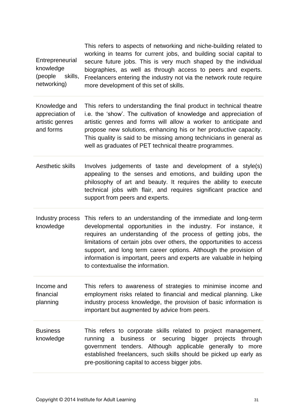|                 | This refers to aspects of networking and niche-building related to  |
|-----------------|---------------------------------------------------------------------|
|                 | working in teams for current jobs, and building social capital to   |
| Entrepreneurial | secure future jobs. This is very much shaped by the individual      |
| knowledge       | biographies, as well as through access to peers and experts.        |
| (people skills, | Freelancers entering the industry not via the network route require |
| networking)     | more development of this set of skills.                             |

Knowledge and appreciation of artistic genres and forms This refers to understanding the final product in technical theatre i.e. the 'show'. The cultivation of knowledge and appreciation of artistic genres and forms will allow a worker to anticipate and propose new solutions, enhancing his or her productive capacity. This quality is said to be missing among technicians in general as well as graduates of PET technical theatre programmes.

- Aesthetic skills Involves judgements of taste and development of a style(s) appealing to the senses and emotions, and building upon the philosophy of art and beauty. It requires the ability to execute technical jobs with flair, and requires significant practice and support from peers and experts.
- Industry process This refers to an understanding of the immediate and long-term knowledge developmental opportunities in the industry. For instance, it requires an understanding of the process of getting jobs, the limitations of certain jobs over others, the opportunities to access support, and long term career options. Although the provision of information is important, peers and experts are valuable in helping to contextualise the information.

Income and financial planning This refers to awareness of strategies to minimise income and employment risks related to financial and medical planning. Like industry process knowledge, the provision of basic information is important but augmented by advice from peers.

**Business** knowledge This refers to corporate skills related to project management, running a business or securing bigger projects through government tenders. Although applicable generally to more established freelancers, such skills should be picked up early as pre-positioning capital to access bigger jobs.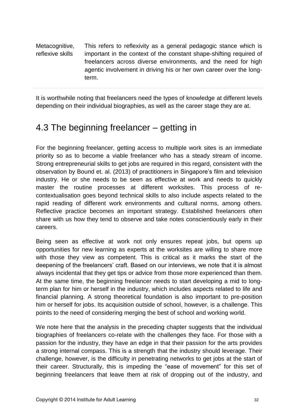Metacognitive, reflexive skills This refers to reflexivity as a general pedagogic stance which is important in the context of the constant shape-shifting required of freelancers across diverse environments, and the need for high agentic involvement in driving his or her own career over the longterm.

It is worthwhile noting that freelancers need the types of knowledge at different levels depending on their individual biographies, as well as the career stage they are at.

## <span id="page-41-0"></span>4.3 The beginning freelancer – getting in

For the beginning freelancer, getting access to multiple work sites is an immediate priority so as to become a viable freelancer who has a steady stream of income. Strong entrepreneurial skills to get jobs are required in this regard, consistent with the observation by Bound et. al. (2013) of practitioners in Singapore's film and television industry. He or she needs to be seen as effective at work and needs to quickly master the routine processes at different worksites. This process of recontextualisation goes beyond technical skills to also include aspects related to the rapid reading of different work environments and cultural norms, among others. Reflective practice becomes an important strategy. Established freelancers often share with us how they tend to observe and take notes conscientiously early in their careers.

Being seen as effective at work not only ensures repeat jobs, but opens up opportunities for new learning as experts at the worksites are willing to share more with those they view as competent. This is critical as it marks the start of the deepening of the freelancers' craft. Based on our interviews, we note that it is almost always incidental that they get tips or advice from those more experienced than them. At the same time, the beginning freelancer needs to start developing a mid to longterm plan for him or herself in the industry, which includes aspects related to life and financial planning. A strong theoretical foundation is also important to pre-position him or herself for jobs. Its acquisition outside of school, however, is a challenge. This points to the need of considering merging the best of school and working world.

We note here that the analysis in the preceding chapter suggests that the individual biographies of freelancers co-relate with the challenges they face. For those with a passion for the industry, they have an edge in that their passion for the arts provides a strong internal compass. This is a strength that the industry should leverage. Their challenge, however, is the difficulty in penetrating networks to get jobs at the start of their career. Structurally, this is impeding the "ease of movement" for this set of beginning freelancers that leave them at risk of dropping out of the industry, and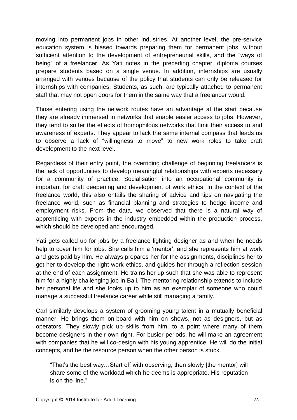moving into permanent jobs in other industries. At another level, the pre-service education system is biased towards preparing them for permanent jobs, without sufficient attention to the development of entrepreneurial skills, and the "ways of being" of a freelancer. As Yati notes in the preceding chapter, diploma courses prepare students based on a single venue. In addition, internships are usually arranged with venues because of the policy that students can only be released for internships with companies. Students, as such, are typically attached to permanent staff that may not open doors for them in the same way that a freelancer would.

Those entering using the network routes have an advantage at the start because they are already immersed in networks that enable easier access to jobs. However, they tend to suffer the effects of homophilous networks that limit their access to and awareness of experts. They appear to lack the same internal compass that leads us to observe a lack of "willingness to move" to new work roles to take craft development to the next level.

Regardless of their entry point, the overriding challenge of beginning freelancers is the lack of opportunities to develop meaningful relationships with experts necessary for a community of practice. Socialisation into an occupational community is important for craft deepening and development of work ethics. In the context of the freelance world, this also entails the sharing of advice and tips on navigating the freelance world, such as financial planning and strategies to hedge income and employment risks. From the data, we observed that there is a natural way of apprenticing with experts in the industry embedded within the production process, which should be developed and encouraged.

Yati gets called up for jobs by a freelance lighting designer as and when he needs help to cover him for jobs. She calls him a 'mentor', and she represents him at work and gets paid by him. He always prepares her for the assignments, disciplines her to get her to develop the right work ethics, and guides her through a reflection session at the end of each assignment. He trains her up such that she was able to represent him for a highly challenging job in Bali. The mentoring relationship extends to include her personal life and she looks up to him as an exemplar of someone who could manage a successful freelance career while still managing a family.

Carl similarly develops a system of grooming young talent in a mutually beneficial manner. He brings them on-board with him on shows, not as designers, but as operators. They slowly pick up skills from him, to a point where many of them become designers in their own right. For busier periods, he will make an agreement with companies that he will co-design with his young apprentice. He will do the initial concepts, and be the resource person when the other person is stuck.

"That's the best way…Start off with observing, then slowly [the mentor] will share some of the workload which he deems is appropriate. His reputation is on the line."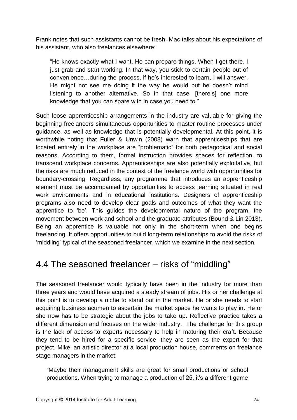Frank notes that such assistants cannot be fresh. Mac talks about his expectations of his assistant, who also freelances elsewhere:

"He knows exactly what I want. He can prepare things. When I get there, I just grab and start working. In that way, you stick to certain people out of convenience…during the process, if he's interested to learn, I will answer. He might not see me doing it the way he would but he doesn't mind listening to another alternative. So in that case, [there's] one more knowledge that you can spare with in case you need to."

Such loose apprenticeship arrangements in the industry are valuable for giving the beginning freelancers simultaneous opportunities to master routine processes under guidance, as well as knowledge that is potentially developmental. At this point, it is worthwhile noting that Fuller & Unwin (2008) warn that apprenticeships that are located entirely in the workplace are "problematic" for both pedagogical and social reasons. According to them, formal instruction provides spaces for reflection, to transcend workplace concerns. Apprenticeships are also potentially exploitative, but the risks are much reduced in the context of the freelance world with opportunities for boundary-crossing. Regardless, any programme that introduces an apprenticeship element must be accompanied by opportunities to access learning situated in real work environments and in educational institutions. Designers of apprenticeship programs also need to develop clear goals and outcomes of what they want the apprentice to 'be'. This guides the developmental nature of the program, the movement between work and school and the graduate attributes (Bound & Lin 2013). Being an apprentice is valuable not only in the short-term when one begins freelancing. It offers opportunities to build long-term relationships to avoid the risks of 'middling' typical of the seasoned freelancer, which we examine in the next section.

### <span id="page-43-0"></span>4.4 The seasoned freelancer – risks of "middling"

The seasoned freelancer would typically have been in the industry for more than three years and would have acquired a steady stream of jobs. His or her challenge at this point is to develop a niche to stand out in the market. He or she needs to start acquiring business acumen to ascertain the market space he wants to play in. He or she now has to be strategic about the jobs to take up. Reflective practice takes a different dimension and focuses on the wider industry. The challenge for this group is the lack of access to experts necessary to help in maturing their craft. Because they tend to be hired for a specific service, they are seen as the expert for that project. Mike, an artistic director at a local production house, comments on freelance stage managers in the market:

"Maybe their management skills are great for small productions or school productions. When trying to manage a production of 25, it's a different game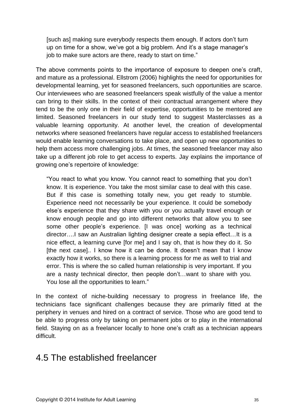[such as] making sure everybody respects them enough. If actors don't turn up on time for a show, we've got a big problem. And it's a stage manager's job to make sure actors are there, ready to start on time."

The above comments points to the importance of exposure to deepen one's craft, and mature as a professional. Ellstrom (2006) highlights the need for opportunities for developmental learning, yet for seasoned freelancers, such opportunities are scarce. Our interviewees who are seasoned freelancers speak wistfully of the value a mentor can bring to their skills. In the context of their contractual arrangement where they tend to be the only one in their field of expertise, opportunities to be mentored are limited. Seasoned freelancers in our study tend to suggest Masterclasses as a valuable learning opportunity. At another level, the creation of developmental networks where seasoned freelancers have regular access to established freelancers would enable learning conversations to take place, and open up new opportunities to help them access more challenging jobs. At times, the seasoned freelancer may also take up a different job role to get access to experts. Jay explains the importance of growing one's repertoire of knowledge:

"You react to what you know. You cannot react to something that you don't know. It is experience. You take the most similar case to deal with this case. But if this case is something totally new, you get ready to stumble. Experience need not necessarily be your experience. It could be somebody else's experience that they share with you or you actually travel enough or know enough people and go into different networks that allow you to see some other people's experience. [I was once] working as a technical director….I saw an Australian lighting designer create a sepia effect…It is a nice effect, a learning curve [for me] and I say oh, that is how they do it. So [the next case].. I know how it can be done. It doesn't mean that I know exactly how it works, so there is a learning process for me as well to trial and error. This is where the so called human relationship is very important. If you are a nasty technical director, then people don't…want to share with you. You lose all the opportunities to learn."

In the context of niche-building necessary to progress in freelance life, the technicians face significant challenges because they are primarily fitted at the periphery in venues and hired on a contract of service. Those who are good tend to be able to progress only by taking on permanent jobs or to play in the international field. Staying on as a freelancer locally to hone one's craft as a technician appears difficult.

### <span id="page-44-0"></span>4.5 The established freelancer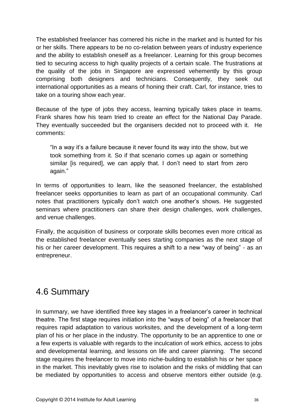The established freelancer has cornered his niche in the market and is hunted for his or her skills. There appears to be no co-relation between years of industry experience and the ability to establish oneself as a freelancer. Learning for this group becomes tied to securing access to high quality projects of a certain scale. The frustrations at the quality of the jobs in Singapore are expressed vehemently by this group comprising both designers and technicians. Consequently, they seek out international opportunities as a means of honing their craft. Carl, for instance, tries to take on a touring show each year.

Because of the type of jobs they access, learning typically takes place in teams. Frank shares how his team tried to create an effect for the National Day Parade. They eventually succeeded but the organisers decided not to proceed with it. He comments:

"In a way it's a failure because it never found its way into the show, but we took something from it. So if that scenario comes up again or something similar [is required], we can apply that. I don't need to start from zero again."

In terms of opportunities to learn, like the seasoned freelancer, the established freelancer seeks opportunities to learn as part of an occupational community. Carl notes that practitioners typically don't watch one another's shows. He suggested seminars where practitioners can share their design challenges, work challenges, and venue challenges.

Finally, the acquisition of business or corporate skills becomes even more critical as the established freelancer eventually sees starting companies as the next stage of his or her career development. This requires a shift to a new "way of being" - as an entrepreneur.

## <span id="page-45-0"></span>4.6 Summary

In summary, we have identified three key stages in a freelancer's career in technical theatre. The first stage requires initiation into the "ways of being" of a freelancer that requires rapid adaptation to various worksites, and the development of a long-term plan of his or her place in the industry. The opportunity to be an apprentice to one or a few experts is valuable with regards to the inculcation of work ethics, access to jobs and developmental learning, and lessons on life and career planning. The second stage requires the freelancer to move into niche-building to establish his or her space in the market. This inevitably gives rise to isolation and the risks of middling that can be mediated by opportunities to access and observe mentors either outside (e.g.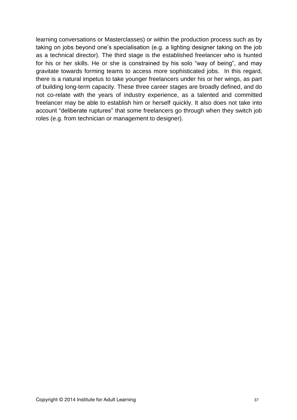learning conversations or Masterclasses) or within the production process such as by taking on jobs beyond one's specialisation (e.g. a lighting designer taking on the job as a technical director). The third stage is the established freelancer who is hunted for his or her skills. He or she is constrained by his solo "way of being", and may gravitate towards forming teams to access more sophisticated jobs. In this regard, there is a natural impetus to take younger freelancers under his or her wings, as part of building long-term capacity. These three career stages are broadly defined, and do not co-relate with the years of industry experience, as a talented and committed freelancer may be able to establish him or herself quickly. It also does not take into account "deliberate ruptures" that some freelancers go through when they switch job roles (e.g. from technician or management to designer).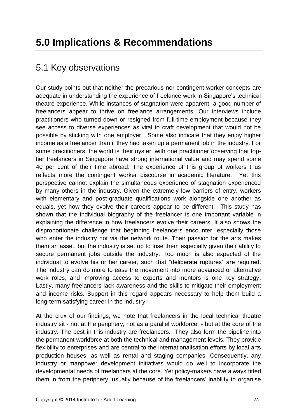## <span id="page-47-1"></span><span id="page-47-0"></span>5.1 Key observations

Our study points out that neither the precarious nor contingent worker concepts are adequate in understanding the experience of freelance work in Singapore's technical theatre experience. While instances of stagnation were apparent, a good number of freelancers appear to thrive on freelance arrangements. Our interviews include practitioners who turned down or resigned from full-time employment because they see access to diverse experiences as vital to craft development that would not be possible by sticking with one employer. Some also indicate that they enjoy higher income as a freelancer than if they had taken up a permanent job in the industry. For some practitioners, the world is their oyster, with one practitioner observing that toptier freelancers in Singapore have strong international value and may spend some 40 per cent of their time abroad. The experience of this group of workers thus reflects more the contingent worker discourse in academic literature. Yet this perspective cannot explain the simultaneous experience of stagnation experienced by many others in the industry. Given the extremely low barriers of entry, workers with elementary and post-graduate qualifications work alongside one another as equals, yet how they evolve their careers appear to be different. This study has shown that the individual biography of the freelancer is one important variable in explaining the difference in how freelancers evolve their careers. It also shows the disproportionate challenge that beginning freelancers encounter, especially those who enter the industry not via the network route. Their passion for the arts makes them an asset, but the industry is set up to lose them especially given their ability to secure permanent jobs outside the industry. Too much is also expected of the individual to evolve his or her career, such that "deliberate ruptures" are required. The industry can do more to ease the movement into more advanced or alternative work roles, and improving access to experts and mentors is one key strategy. Lastly, many freelancers lack awareness and the skills to mitigate their employment and income risks. Support in this regard appears necessary to help them build a long-term satisfying career in the industry.

At the crux of our findings, we note that freelancers in the local technical theatre industry sit - not at the periphery, not as a parallel workforce, - but at the core of the industry. The best in this industry are freelancers. They also form the pipeline into the permanent workforce at both the technical and management levels. They provide flexibility to enterprises and are central to the internationalisation efforts by local arts production houses, as well as rental and staging companies. Consequently, any industry or manpower development initiatives would do well to incorporate the developmental needs of freelancers at the core. Yet policy-makers have always fitted them in from the periphery, usually because of the freelancers' inability to organise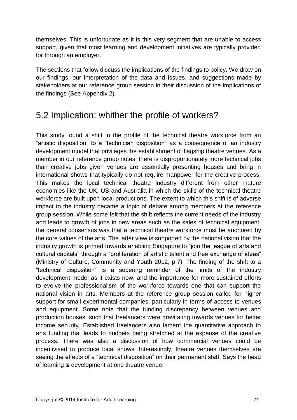themselves. This is unfortunate as it is this very segment that are unable to access support, given that most learning and development initiatives are typically provided for through an employer.

The sections that follow discuss the implications of the findings to policy. We draw on our findings, our interpretation of the data and issues, and suggestions made by stakeholders at our reference group session in their discussion of the implications of the findings (See Appendix 2).

#### <span id="page-48-0"></span>5.2 Implication: whither the profile of workers?

This study found a shift in the profile of the technical theatre workforce from an "artistic disposition" to a "technician disposition" as a consequence of an industry development model that privileges the establishment of flagship theatre venues. As a member in our reference group notes, there is disproportionately more technical jobs than creative jobs given venues are essentially presenting houses and bring in international shows that typically do not require manpower for the creative process. This makes the local technical theatre industry different from other mature economies like the UK, US and Australia in which the skills of the technical theatre workforce are built upon local productions. The extent to which this shift is of adverse impact to the industry became a topic of debate among members at the reference group session. While some felt that the shift reflects the current needs of the industry and leads to growth of jobs in new areas such as the sales of technical equipment, the general consensus was that a technical theatre workforce must be anchored by the core values of the arts. The latter view is supported by the national vision that the industry growth is primed towards enabling Singapore to "join the league of arts and cultural capitals" through a "proliferation of artistic talent and free exchange of ideas" (Ministry of Culture, Community and Youth 2012, p.7). The finding of the shift to a "technical disposition" is a sobering reminder of the limits of the industry development model as it exists now, and the importance for more sustained efforts to evolve the professionalism of the workforce towards one that can support the national vision in arts. Members at the reference group session called for higher support for small experimental companies, particularly in terms of access to venues and equipment. Some note that the funding discrepancy between venues and production houses, such that freelancers were gravitating towards venues for better income security. Established freelancers also lament the quantitative approach to arts funding that leads to budgets being stretched at the expense of the creative process. There was also a discussion of how commercial venues could be incentivised to produce local shows. Interestingly, theatre venues themselves are seeing the effects of a "technical disposition" on their permanent staff. Says the head of learning & development at one theatre venue: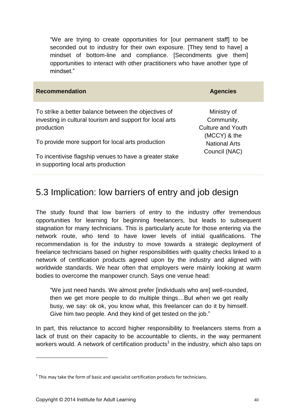"We are trying to create opportunities for [our permanent staff] to be seconded out to industry for their own exposure. [They tend to have] a mindset of bottom-line and compliance. [Secondments give them] opportunities to interact with other practitioners who have another type of mindset."

| <b>Recommendation</b>                                                                                                          | <b>Agencies</b>                                       |
|--------------------------------------------------------------------------------------------------------------------------------|-------------------------------------------------------|
| To strike a better balance between the objectives of<br>investing in cultural tourism and support for local arts<br>production | Ministry of<br>Community,<br><b>Culture and Youth</b> |
| To provide more support for local arts production                                                                              | (MCCY) & the<br><b>National Arts</b>                  |
| To incentivise flagship venues to have a greater stake<br>in supporting local arts production                                  | Council (NAC)                                         |

### <span id="page-49-0"></span>5.3 Implication: low barriers of entry and job design

The study found that low barriers of entry to the industry offer tremendous opportunities for learning for beginning freelancers, but leads to subsequent stagnation for many technicians. This is particularly acute for those entering via the network route, who tend to have lower levels of initial qualifications. The recommendation is for the industry to move towards a strategic deployment of freelance technicians based on higher responsibilities with quality checks linked to a network of certification products agreed upon by the industry and aligned with worldwide standards. We hear often that employers were mainly looking at warm bodies to overcome the manpower crunch. Says one venue head:

"We just need hands. We almost prefer [individuals who are] well-rounded, then we get more people to do multiple things…But when we get really busy, we say: ok ok, you know what, this freelancer can do it by himself. Give him two people. And they kind of get tested on the job."

In part, this reluctance to accord higher responsibility to freelancers stems from a lack of trust on their capacity to be accountable to clients, in the way permanent workers would. A network of certification products<sup>1</sup> in the industry, which also taps on

1

 $1$  This may take the form of basic and specialist certification products for technicians.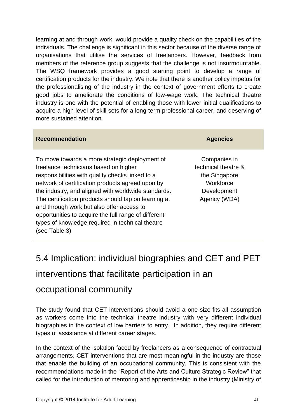learning at and through work, would provide a quality check on the capabilities of the individuals. The challenge is significant in this sector because of the diverse range of organisations that utilise the services of freelancers. However, feedback from members of the reference group suggests that the challenge is not insurmountable. The WSQ framework provides a good starting point to develop a range of certification products for the industry. We note that there is another policy impetus for the professionalising of the industry in the context of government efforts to create good jobs to ameliorate the conditions of low-wage work. The technical theatre industry is one with the potential of enabling those with lower initial qualifications to acquire a high level of skill sets for a long-term professional career, and deserving of more sustained attention.

| <b>Recommendation</b>                                                                                                                                                                                                                                                                                                                                                                                                                                                                    | <b>Agencies</b>                                                                                  |
|------------------------------------------------------------------------------------------------------------------------------------------------------------------------------------------------------------------------------------------------------------------------------------------------------------------------------------------------------------------------------------------------------------------------------------------------------------------------------------------|--------------------------------------------------------------------------------------------------|
| To move towards a more strategic deployment of<br>freelance technicians based on higher<br>responsibilities with quality checks linked to a<br>network of certification products agreed upon by<br>the industry, and aligned with worldwide standards.<br>The certification products should tap on learning at<br>and through work but also offer access to<br>opportunities to acquire the full range of different<br>types of knowledge required in technical theatre<br>(see Table 3) | Companies in<br>technical theatre &<br>the Singapore<br>Workforce<br>Development<br>Agency (WDA) |

# <span id="page-50-0"></span>5.4 Implication: individual biographies and CET and PET interventions that facilitate participation in an occupational community

The study found that CET interventions should avoid a one-size-fits-all assumption as workers come into the technical theatre industry with very different individual biographies in the context of low barriers to entry. In addition, they require different types of assistance at different career stages.

In the context of the isolation faced by freelancers as a consequence of contractual arrangements, CET interventions that are most meaningful in the industry are those that enable the building of an occupational community. This is consistent with the recommendations made in the "Report of the Arts and Culture Strategic Review" that called for the introduction of mentoring and apprenticeship in the industry (Ministry of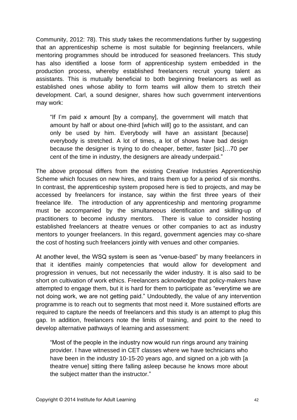Community, 2012: 78). This study takes the recommendations further by suggesting that an apprenticeship scheme is most suitable for beginning freelancers, while mentoring programmes should be introduced for seasoned freelancers. This study has also identified a loose form of apprenticeship system embedded in the production process, whereby established freelancers recruit young talent as assistants. This is mutually beneficial to both beginning freelancers as well as established ones whose ability to form teams will allow them to stretch their development. Carl, a sound designer, shares how such government interventions may work:

"If I'm paid x amount [by a company], the government will match that amount by half or about one-third [which will] go to the assistant, and can only be used by him. Everybody will have an assistant [because] everybody is stretched. A lot of times, a lot of shows have bad design because the designer is trying to do cheaper, better, faster [sic]…70 per cent of the time in industry, the designers are already underpaid."

The above proposal differs from the existing Creative Industries Apprenticeship Scheme which focuses on new hires, and trains them up for a period of six months. In contrast, the apprenticeship system proposed here is tied to projects, and may be accessed by freelancers for instance, say within the first three years of their freelance life. The introduction of any apprenticeship and mentoring programme must be accompanied by the simultaneous identification and skilling-up of practitioners to become industry mentors. There is value to consider hosting established freelancers at theatre venues or other companies to act as industry mentors to younger freelancers. In this regard, government agencies may co-share the cost of hosting such freelancers jointly with venues and other companies.

At another level, the WSQ system is seen as "venue-based" by many freelancers in that it identifies mainly competencies that would allow for development and progression in venues, but not necessarily the wider industry. It is also said to be short on cultivation of work ethics. Freelancers acknowledge that policy-makers have attempted to engage them, but it is hard for them to participate as "everytime we are not doing work, we are not getting paid." Undoubtedly, the value of any intervention programme is to reach out to segments that most need it. More sustained efforts are required to capture the needs of freelancers and this study is an attempt to plug this gap. In addition, freelancers note the limits of training, and point to the need to develop alternative pathways of learning and assessment:

"Most of the people in the industry now would run rings around any training provider. I have witnessed in CET classes where we have technicians who have been in the industry 10-15-20 years ago, and signed on a job with [a theatre venue] sitting there falling asleep because he knows more about the subject matter than the instructor."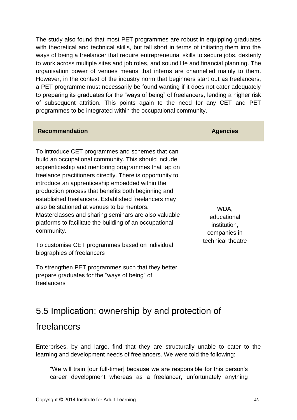The study also found that most PET programmes are robust in equipping graduates with theoretical and technical skills, but fall short in terms of initiating them into the ways of being a freelancer that require entrepreneurial skills to secure jobs, dexterity to work across multiple sites and job roles, and sound life and financial planning. The organisation power of venues means that interns are channelled mainly to them. However, in the context of the industry norm that beginners start out as freelancers, a PET programme must necessarily be found wanting if it does not cater adequately to preparing its graduates for the "ways of being" of freelancers, lending a higher risk of subsequent attrition. This points again to the need for any CET and PET programmes to be integrated within the occupational community.

#### **Recommendation Agencies**

To introduce CET programmes and schemes that can build an occupational community. This should include apprenticeship and mentoring programmes that tap on freelance practitioners directly. There is opportunity to introduce an apprenticeship embedded within the production process that benefits both beginning and established freelancers. Established freelancers may also be stationed at venues to be mentors. Masterclasses and sharing seminars are also valuable platforms to facilitate the building of an occupational community.

To customise CET programmes based on individual biographies of freelancers

To strengthen PET programmes such that they better prepare graduates for the "ways of being" of freelancers

WDA, educational institution, companies in technical theatre

## <span id="page-52-0"></span>5.5 Implication: ownership by and protection of

#### freelancers

Enterprises, by and large, find that they are structurally unable to cater to the learning and development needs of freelancers. We were told the following:

"We will train [our full-timer] because we are responsible for this person's career development whereas as a freelancer, unfortunately anything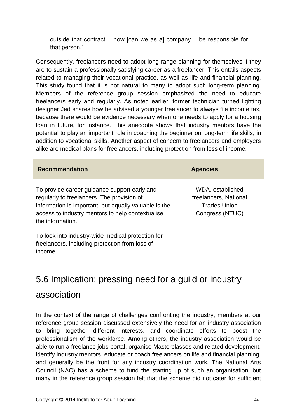outside that contract… how [can we as a] company …be responsible for that person."

Consequently, freelancers need to adopt long-range planning for themselves if they are to sustain a professionally satisfying career as a freelancer. This entails aspects related to managing their vocational practice, as well as life and financial planning. This study found that it is not natural to many to adopt such long-term planning. Members of the reference group session emphasized the need to educate freelancers early and regularly. As noted earlier, former technician turned lighting designer Jed shares how he advised a younger freelancer to always file income tax, because there would be evidence necessary when one needs to apply for a housing loan in future, for instance. This anecdote shows that industry mentors have the potential to play an important role in coaching the beginner on long-term life skills, in addition to vocational skills. Another aspect of concern to freelancers and employers alike are medical plans for freelancers, including protection from loss of income.

| <b>Recommendation</b>                                                                                                                                                                                                       | <b>Agencies</b>                                                                     |
|-----------------------------------------------------------------------------------------------------------------------------------------------------------------------------------------------------------------------------|-------------------------------------------------------------------------------------|
| To provide career guidance support early and<br>regularly to freelancers. The provision of<br>information is important, but equally valuable is the<br>access to industry mentors to help contextualise<br>the information. | WDA, established<br>freelancers, National<br><b>Trades Union</b><br>Congress (NTUC) |
| To look into industry-wide medical protection for                                                                                                                                                                           |                                                                                     |

freelancers, including protection from loss of income.

## <span id="page-53-0"></span>5.6 Implication: pressing need for a guild or industry

#### association

In the context of the range of challenges confronting the industry, members at our reference group session discussed extensively the need for an industry association to bring together different interests, and coordinate efforts to boost the professionalism of the workforce. Among others, the industry association would be able to run a freelance jobs portal, organise Masterclasses and related development, identify industry mentors, educate or coach freelancers on life and financial planning, and generally be the front for any industry coordination work. The National Arts Council (NAC) has a scheme to fund the starting up of such an organisation, but many in the reference group session felt that the scheme did not cater for sufficient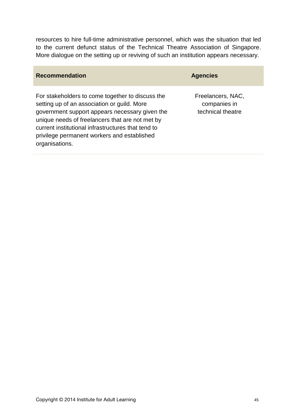resources to hire full-time administrative personnel, which was the situation that led to the current defunct status of the Technical Theatre Association of Singapore. More dialogue on the setting up or reviving of such an institution appears necessary.

| <b>Recommendation</b>                                                                                                                                                                                                                                                                                                       | <b>Agencies</b>                                        |
|-----------------------------------------------------------------------------------------------------------------------------------------------------------------------------------------------------------------------------------------------------------------------------------------------------------------------------|--------------------------------------------------------|
| For stakeholders to come together to discuss the<br>setting up of an association or guild. More<br>government support appears necessary given the<br>unique needs of freelancers that are not met by<br>current institutional infrastructures that tend to<br>privilege permanent workers and established<br>organisations. | Freelancers, NAC,<br>companies in<br>technical theatre |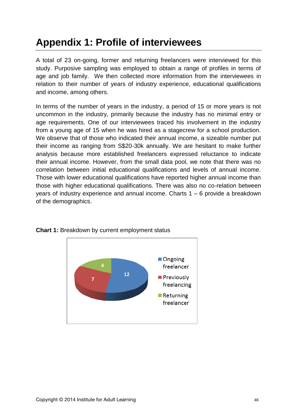## <span id="page-55-0"></span>**Appendix 1: Profile of interviewees**

A total of 23 on-going, former and returning freelancers were interviewed for this study. Purposive sampling was employed to obtain a range of profiles in terms of age and job family. We then collected more information from the interviewees in relation to their number of years of industry experience, educational qualifications and income, among others.

In terms of the number of years in the industry, a period of 15 or more years is not uncommon in the industry, primarily because the industry has no minimal entry or age requirements. One of our interviewees traced his involvement in the industry from a young age of 15 when he was hired as a stagecrew for a school production. We observe that of those who indicated their annual income, a sizeable number put their income as ranging from S\$20-30k annually. We are hesitant to make further analysis because more established freelancers expressed reluctance to indicate their annual income. However, from the small data pool, we note that there was no correlation between initial educational qualifications and levels of annual income. Those with lower educational qualifications have reported higher annual income than those with higher educational qualifications. There was also no co-relation between years of industry experience and annual income. Charts 1 – 6 provide a breakdown of the demographics.



**Chart 1:** Breakdown by current employment status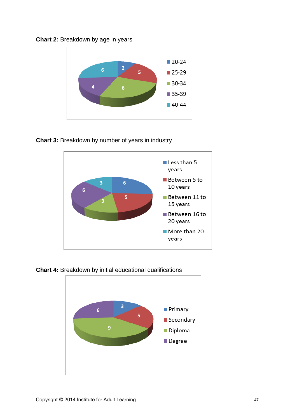



**Chart 3:** Breakdown by number of years in industry



**Chart 4:** Breakdown by initial educational qualifications

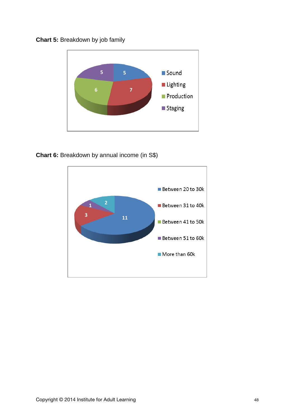



**Chart 6:** Breakdown by annual income (in S\$)

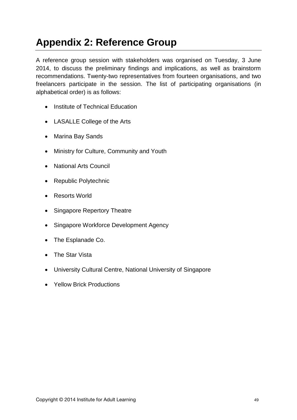# <span id="page-58-0"></span>**Appendix 2: Reference Group**

A reference group session with stakeholders was organised on Tuesday, 3 June 2014, to discuss the preliminary findings and implications, as well as brainstorm recommendations. Twenty-two representatives from fourteen organisations, and two freelancers participate in the session. The list of participating organisations (in alphabetical order) is as follows:

- Institute of Technical Education
- LASALLE College of the Arts
- Marina Bay Sands
- Ministry for Culture, Community and Youth
- National Arts Council
- Republic Polytechnic
- Resorts World
- Singapore Repertory Theatre
- Singapore Workforce Development Agency
- The Esplanade Co.
- The Star Vista
- University Cultural Centre, National University of Singapore
- Yellow Brick Productions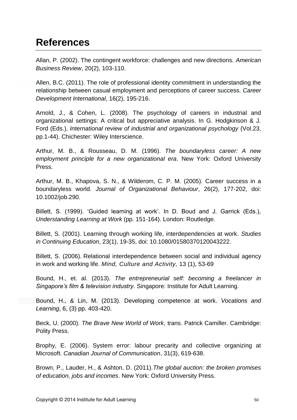## <span id="page-59-0"></span>**References**

Allan, P. (2002). The contingent workforce: challenges and new directions. *American Business Review*, 20(2), 103-110.

Allen, B.C. (2011). The role of professional identity commitment in understanding the relationship between casual employment and perceptions of career success. *Career Development International*, 16(2), 195-216.

Arnold, J., & Cohen, L. (2008). The psychology of careers in industrial and organizational settings: A critical but appreciative analysis. In G. Hodgkinson & J. Ford (Eds.), *International review of industrial and organizational psychology* (Vol.23, pp.1-44). Chichester: Wiley Interscience.

Arthur, M. B., & Rousseau, D. M. (1996). *The boundaryless career: A new employment principle for a new organizational era*. New York: Oxford University Press.

Arthur, M. B., Khapova, S. N., & Wilderom, C. P. M. (2005). Career success in a boundaryless world. *Journal of Organizational Behaviour*, 26(2), 177-202, doi: 10.1002/job.290.

Billett, S. (1999). 'Guided learning at work'. In D. Boud and J. Garrick (Eds.), *Understanding Learning at Work* (pp. 151-164). London: Routledge.

Billett, S. (2001). Learning through working life, interdependencies at work. *Studies in Continuing Education*, 23(1), 19-35, doi: 10.1080/01580370120043222.

Billett, S. (2006). Relational interdependence between social and individual agency in work and working life. *Mind, Culture and Activity,* 13 (1), 53-69

Bound, H., et. al. (2013). *The entrepreneurial self: becoming a freelancer in Singapore's film & television industry.* Singapore: Institute for Adult Learning.

Bound, H., & Lin, M. (2013). [Developing competence at work.](http://ecite.utas.edu.au/91517) *Vocations and Learning*, 6, (3) pp. 403-420.

Beck, U. (2000). *The Brave New World of Work*, trans. Patrick Camiller. Cambridge: Polity Press.

Brophy, E. (2006). System error: labour precarity and collective organizing at Microsoft. *Canadian Journal of Communication*, 31(3), 619-638.

Brown, P., Lauder, H., & Ashton, D. (2011).*The global auction: the broken promises of education, jobs and incomes*. New York: Oxford University Press.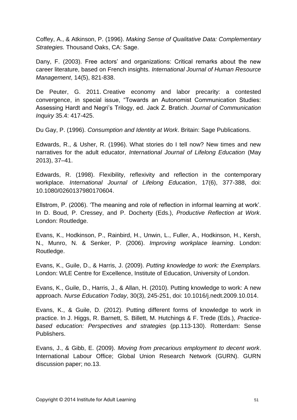Coffey, A., & Atkinson, P. (1996). *Making Sense of Qualitative Data: Complementary Strategies.* Thousand Oaks, CA: Sage.

Dany, F. (2003). Free actors' and organizations: Critical remarks about the new career literature, based on French insights. *International Journal of Human Resource Management*, 14(5), 821-838.

De Peuter, G. 2011. [Creative economy and labor precarity: a contested](http://culturalworkersorganize.files.wordpress.com/2012/09/de-peuter_creative-economy-and-labour-precarity-dragged.pdf)  [convergence,](http://culturalworkersorganize.files.wordpress.com/2012/09/de-peuter_creative-economy-and-labour-precarity-dragged.pdf) in special issue, "Towards an Autonomist Communication Studies: Assessing Hardt and Negri's Trilogy, ed. Jack Z. Bratich. *Journal of Communication Inquiry* 35.4: 417-425.

Du Gay, P. (1996). *Consumption and Identity at Work*. Britain: Sage Publications.

Edwards, R., & Usher, R. (1996). What stories do I tell now? New times and new narratives for the adult educator, *International Journal of Lifelong Education* (May 2013), 37–41.

Edwards, R. (1998). Flexibility, reflexivity and reflection in the contemporary workplace. *International Journal of Lifelong Education*, 17(6), 377-388, doi: 10.1080/0260137980170604.

Ellstrom, P. (2006). 'The meaning and role of reflection in informal learning at work'. In D. Boud, P. Cressey, and P. Docherty (Eds.), *Productive Reflection at Work*. London: Routledge.

Evans, K., Hodkinson, P., Rainbird, H., Unwin, L., Fuller, A., Hodkinson, H., Kersh, N., Munro, N. & Senker, P. (2006). *Improving workplace learning*. London: Routledge.

Evans, K., Guile, D., & Harris, J. (2009). *Putting knowledge to work: the Exemplars.*  London: WLE Centre for Excellence, Institute of Education, University of London.

Evans, K., Guile, D., Harris, J., & Allan, H. (2010). Putting knowledge to work: A new approach. *Nurse Education Today*, 30(3), 245-251, doi: 10.1016/j.nedt.2009.10.014.

Evans, K., & Guile, D. (2012). Putting different forms of knowledge to work in practice. In J. Higgs, R. Barnett, S. Billett, M. Hutchings & F. Trede (Eds.)*, Practicebased education: Perspectives and strategies* (pp.113-130). Rotterdam: Sense Publishers.

Evans, J., & Gibb, E. (2009). *Moving from precarious employment to decent work*. International Labour Office; Global Union Research Network (GURN). GURN discussion paper; no.13.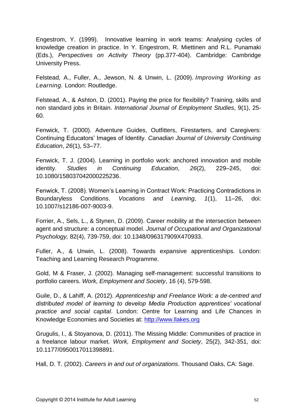Engestrom, Y. (1999). Innovative learning in work teams: Analysing cycles of knowledge creation in practice. In Y. Engestrom, R. Miettinen and R.L. Punamaki (Eds.), *Perspectives on Activity Theory* (pp.377-404). Cambridge: Cambridge University Press.

Felstead, A., Fuller, A., Jewson, N. & Unwin, L. (2009). *Improving Working as Learning.* London: Routledge.

Felstead, A., & Ashton, D. (2001). Paying the price for flexibility? Training, skills and non standard jobs in Britain. *International Journal of Employment Studies*, 9(1), 25- 60.

Fenwick, T. (2000). Adventure Guides, Outfitters, Firestarters, and Caregivers: Continuing Educators' Images of Identity. *Canadian Journal of University Continuing Education*, *26*(1), 53–77.

Fenwick, T. J. (2004). Learning in portfolio work: anchored innovation and mobile identity. *Studies in Continuing Education*, *26*(2), 229–245, doi: 10.1080/158037042000225236.

Fenwick, T. (2008). Women's Learning in Contract Work: Practicing Contradictions in Boundaryless Conditions. *Vocations and Learning*, *1*(1), 11–26, doi: 10.1007/s12186-007-9003-9.

Forrier, A., Sels, L., & Stynen, D. (2009). Career mobility at the intersection between agent and structure: a conceptual model. *Journal of Occupational and Organizational Psychology,* 82(4), 739-759, doi: 10.1348/096317909X470933.

Fuller, A., & Unwin, L. (2008). Towards expansive apprenticeships. London: Teaching and Learning Research Programme.

Gold, M & Fraser, J. (2002). Managing self-management: successful transitions to portfolio careers. *Work, Employment and Society*, 16 (4), 579-598.

Guile, D., & Lahiff, A. (2012). *Apprenticeship and Freelance Work: a de-centred and distributed model of learning to develop Media Production apprentices' vocational practice and social capital*. London: Centre for Learning and Life Chances in Knowledge Economies and Societies at: [http://www.llakes.org](http://www.llakes.org/)

Grugulis, I., & Stoyanova, D. (2011). The Missing Middle: Communities of practice in a freelance labour market. *Work, Employment and Society*, 25(2), 342-351, doi: 10.1177/0950017011398891.

Hall, D. T. (2002). *Careers in and out of organizations*. Thousand Oaks, CA: Sage.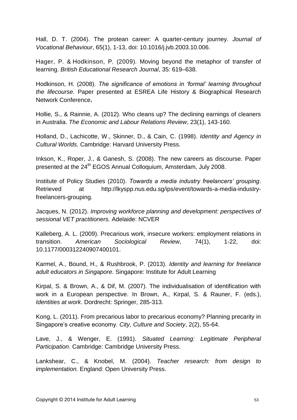Hall, D. T. (2004). The protean career: A quarter-century journey. *Journal of Vocational Behaviour*, 65(1), 1-13, doi: 10.1016/j.jvb.2003.10.006.

Hager, P. & Hodkinson, P. (2009). Moving beyond the metaphor of transfer of learning. *British Educational Research Journal*, 35: 619–638.

Hodkinson, H. (2008). *The significance of emotions in 'formal' learning throughout the lifecourse.* Paper presented at ESREA Life History & Biographical Research Network Conference**.**

Hollie, S., & Rainnie, A. (2012). Who cleans up? The declining earnings of cleaners in Australia. *The Economic and Labour Relations Review*, 23(1), 143-160.

Holland, D., Lachicotte, W., Skinner, D., & Cain, C. (1998). *Identity and Agency in Cultural Worlds*. Cambridge: Harvard University Press.

Inkson, K., Roper, J., & Ganesh, S. (2008). The new careers as discourse. Paper presented at the 24<sup>th</sup> EGOS Annual Colloquium, Amsterdam, July 2008.

Institute of Policy Studies (2010). *Towards a media industry freelancers' grouping*. Retrieved at http://lkyspp.nus.edu.sg/ips/event/towards-a-media-industryfreelancers-grouping.

Jacques, N. (2012). *Improving workforce planning and development: perspectives of sessional VET practitioners.* Adelaide: NCVER

Kalleberg, A. L. (2009). Precarious work, insecure workers: employment relations in transition. *American Sociological Review*, 74(1), 1-22, doi: 10.1177/000312240907400101.

Karmel, A., Bound, H., & Rushbrook, P. (2013). *Identity and learning for freelance adult educators in Singapore.* Singapore: Institute for Adult Learning

Kirpal, S. & Brown, A., & Dif, M. (2007). The individualisation of identification with work in a European perspective. In Brown, A., Kirpal, S. & Rauner, F. (eds.), *Identities at work*. Dordrecht: Springer, 285-313.

Kong, L. (2011). From precarious labor to precarious economy? Planning precarity in Singapore's creative economy. *City, Culture and Society*, 2(2), 55-64.

Lave, J., & Wenger, E. (1991). *Situated Learning: Legitimate Peripheral Participation*. Cambridge: Cambridge University Press.

Lankshear, C., & Knobel, M. (2004). *Teacher research: from design to implementation.* England: Open University Press.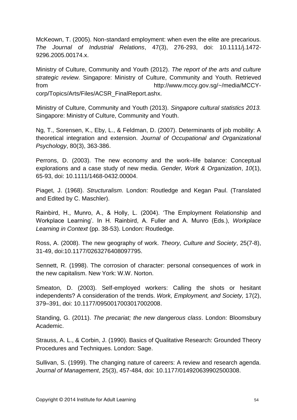McKeown, T. (2005). Non-standard employment: when even the elite are precarious. *The Journal of Industrial Relations*, 47(3), 276-293, doi: 10.1111/j.1472- 9296.2005.00174.x.

Ministry of Culture, Community and Youth (2012). *The report of the arts and culture strategic review.* Singapore: Ministry of Culture, Community and Youth. Retrieved from http://www.mccy.gov.sg/~/media/MCCYcorp/Topics/Arts/Files/ACSR\_FinalReport.ashx.

Ministry of Culture, Community and Youth (2013). *Singapore cultural statistics 2013.*  Singapore: Ministry of Culture, Community and Youth.

Ng, T., Sorensen, K., Eby, L., & Feldman, D. (2007). Determinants of job mobility: A theoretical integration and extension. *Journal of Occupational and Organizational Psychology*, 80(3), 363-386.

Perrons, D. (2003). The new economy and the work–life balance: Conceptual explorations and a case study of new media. *Gender, Work & Organization*, *10*(1), 65-93, doi: 10.1111/1468-0432.00004.

Piaget, J. (1968). *Structuralism*. London: Routledge and Kegan Paul. (Translated and Edited by C. Maschler).

Rainbird, H., Munro, A., & Holly, L. (2004). 'The Employment Relationship and Workplace Learning'. In H. Rainbird, A. Fuller and A. Munro (Eds.), *Workplace Learning in Context* (pp. 38-53). London: Routledge.

Ross, A. (2008). The new geography of work. *Theory, Culture and Society*, 25(7-8), 31-49, doi:10.1177/0263276408097795.

Sennett, R. (1998). The corrosion of character: personal consequences of work in the new capitalism. New York: W.W. Norton.

Smeaton, D. (2003). Self-employed workers: Calling the shots or hesitant independents? A consideration of the trends. *Work, Employment, and Society,* 17(2), 379–391, doi: 10.1177/0950017003017002008.

Standing, G. (2011). *The precariat; the new dangerous class*. London: Bloomsbury Academic.

Strauss, A. L., & Corbin, J. (1990). Basics of Qualitative Research: Grounded Theory Procedures and Techniques. London: Sage.

Sullivan, S. (1999). The changing nature of careers: A review and research agenda. *Journal of Management*, 25(3), 457-484, doi: 10.1177/014920639902500308.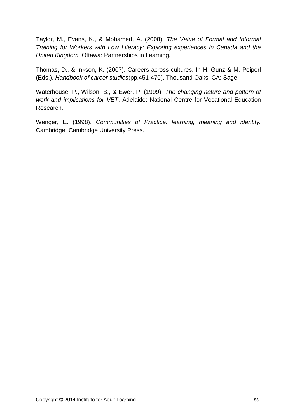Taylor, M., Evans, K., & Mohamed, A. (2008). *The Value of Formal and Informal Training for Workers with Low Literacy: Exploring experiences in Canada and the United Kingdom.* Ottawa: Partnerships in Learning.

Thomas, D., & Inkson, K. (2007). Careers across cultures. In H. Gunz & M. Peiperl (Eds.), *Handbook of career studies*(pp.451-470). Thousand Oaks, CA: Sage.

Waterhouse, P., Wilson, B., & Ewer, P. (1999). *The changing nature and pattern of work and implications for VET*. Adelaide: National Centre for Vocational Education Research.

Wenger, E. (1998). *Communities of Practice: learning, meaning and identity.*  Cambridge: Cambridge University Press.